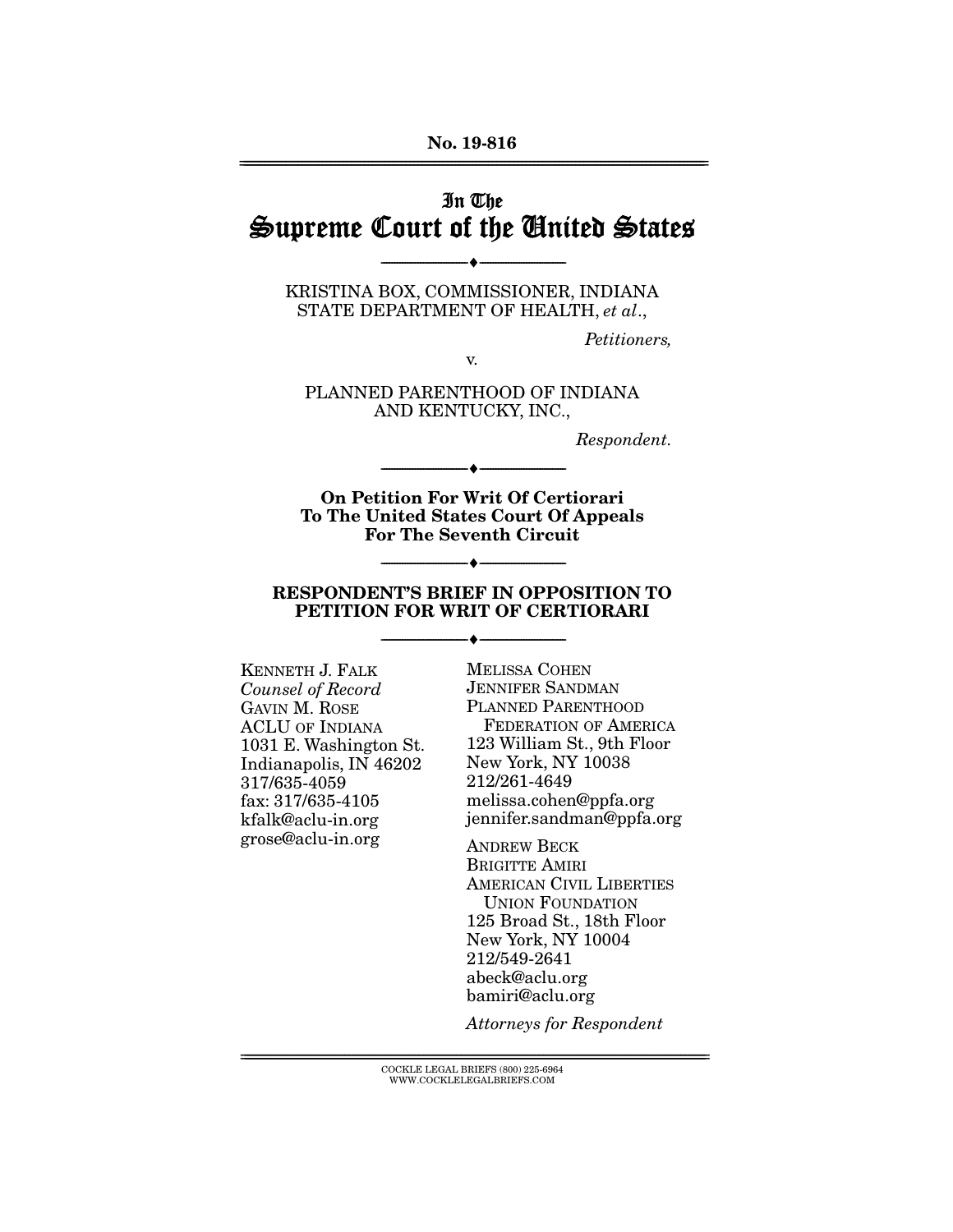#### **No. 19-816**  ================================================================================================================

# In The Supreme Court of the United States

KRISTINA BOX, COMMISSIONER, INDIANA STATE DEPARTMENT OF HEALTH, *et al*.,

--------------------------------- ♦ ---------------------------------

*Petitioners,* 

v.

PLANNED PARENTHOOD OF INDIANA AND KENTUCKY, INC.,

*Respondent.* 

**On Petition For Writ Of Certiorari To The United States Court Of Appeals For The Seventh Circuit** 

--------------------------------- ♦ ---------------------------------

#### **RESPONDENT'S BRIEF IN OPPOSITION TO PETITION FOR WRIT OF CERTIORARI**

--------------------------------- ♦ ---------------------------------

--------------------------------- ♦ ---------------------------------

KENNETH J. FALK *Counsel of Record*  GAVIN M. ROSE ACLU OF INDIANA 1031 E. Washington St. Indianapolis, IN 46202 317/635-4059 fax: 317/635-4105 kfalk@aclu-in.org grose@aclu-in.org

MELISSA COHEN JENNIFER SANDMAN PLANNED PARENTHOOD FEDERATION OF AMERICA 123 William St., 9th Floor New York, NY 10038 212/261-4649 melissa.cohen@ppfa.org jennifer.sandman@ppfa.org

ANDREW BECK BRIGITTE AMIRI AMERICAN CIVIL LIBERTIES UNION FOUNDATION 125 Broad St., 18th Floor New York, NY 10004 212/549-2641 abeck@aclu.org bamiri@aclu.org

*Attorneys for Respondent* 

 ${ \rm COCKLE}$  LEGAL BRIEFS (800) 225-6964 WWW.COCKLELEGALBRIEFS.COM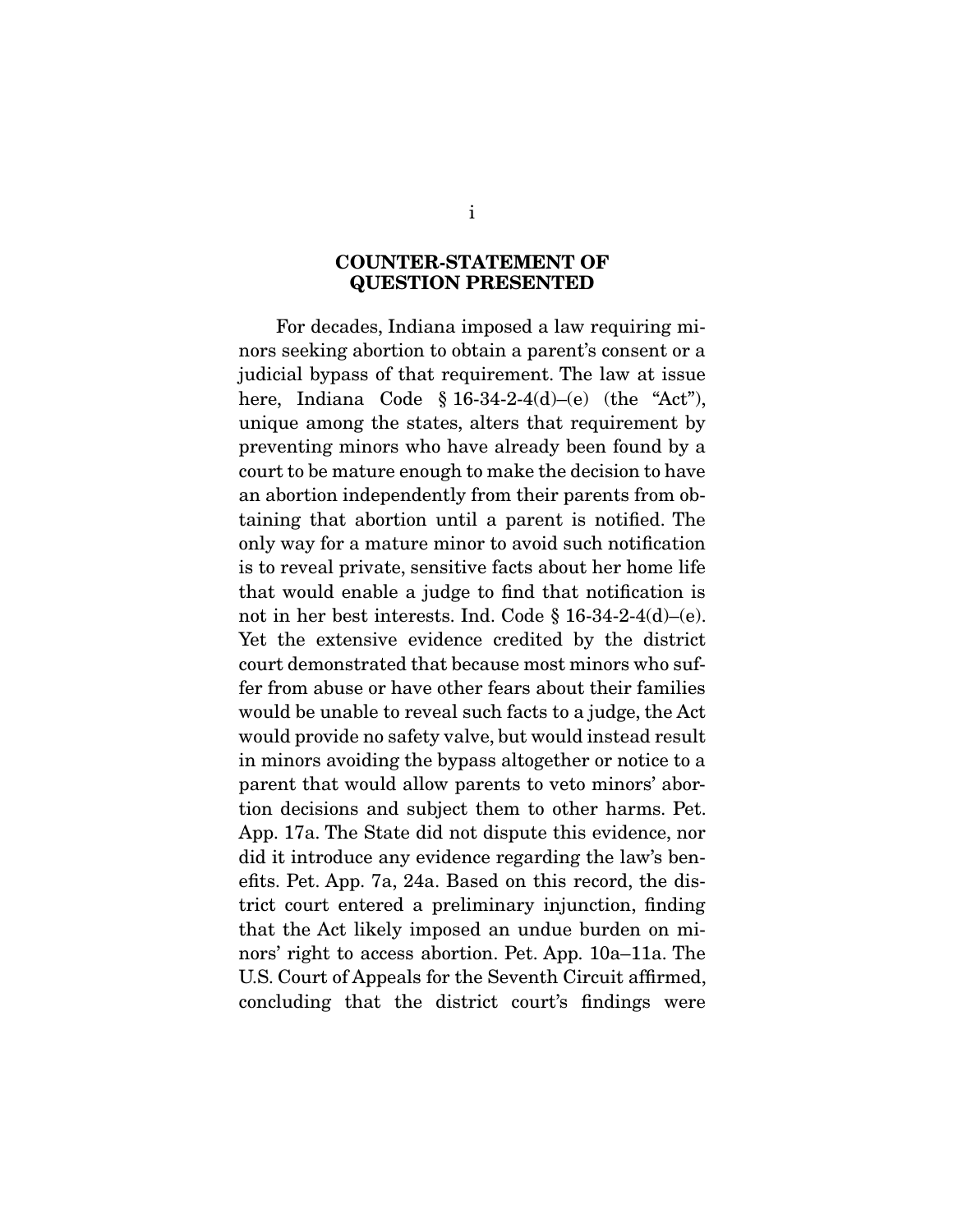#### **COUNTER-STATEMENT OF QUESTION PRESENTED**

For decades, Indiana imposed a law requiring minors seeking abortion to obtain a parent's consent or a judicial bypass of that requirement. The law at issue here, Indiana Code  $\S 16-34-2-4(d)$  (the "Act"), unique among the states, alters that requirement by preventing minors who have already been found by a court to be mature enough to make the decision to have an abortion independently from their parents from obtaining that abortion until a parent is notified. The only way for a mature minor to avoid such notification is to reveal private, sensitive facts about her home life that would enable a judge to find that notification is not in her best interests. Ind. Code § 16-34-2-4(d)–(e). Yet the extensive evidence credited by the district court demonstrated that because most minors who suffer from abuse or have other fears about their families would be unable to reveal such facts to a judge, the Act would provide no safety valve, but would instead result in minors avoiding the bypass altogether or notice to a parent that would allow parents to veto minors' abortion decisions and subject them to other harms. Pet. App. 17a. The State did not dispute this evidence, nor did it introduce any evidence regarding the law's benefits. Pet. App. 7a, 24a. Based on this record, the district court entered a preliminary injunction, finding that the Act likely imposed an undue burden on minors' right to access abortion. Pet. App. 10a–11a. The U.S. Court of Appeals for the Seventh Circuit affirmed, concluding that the district court's findings were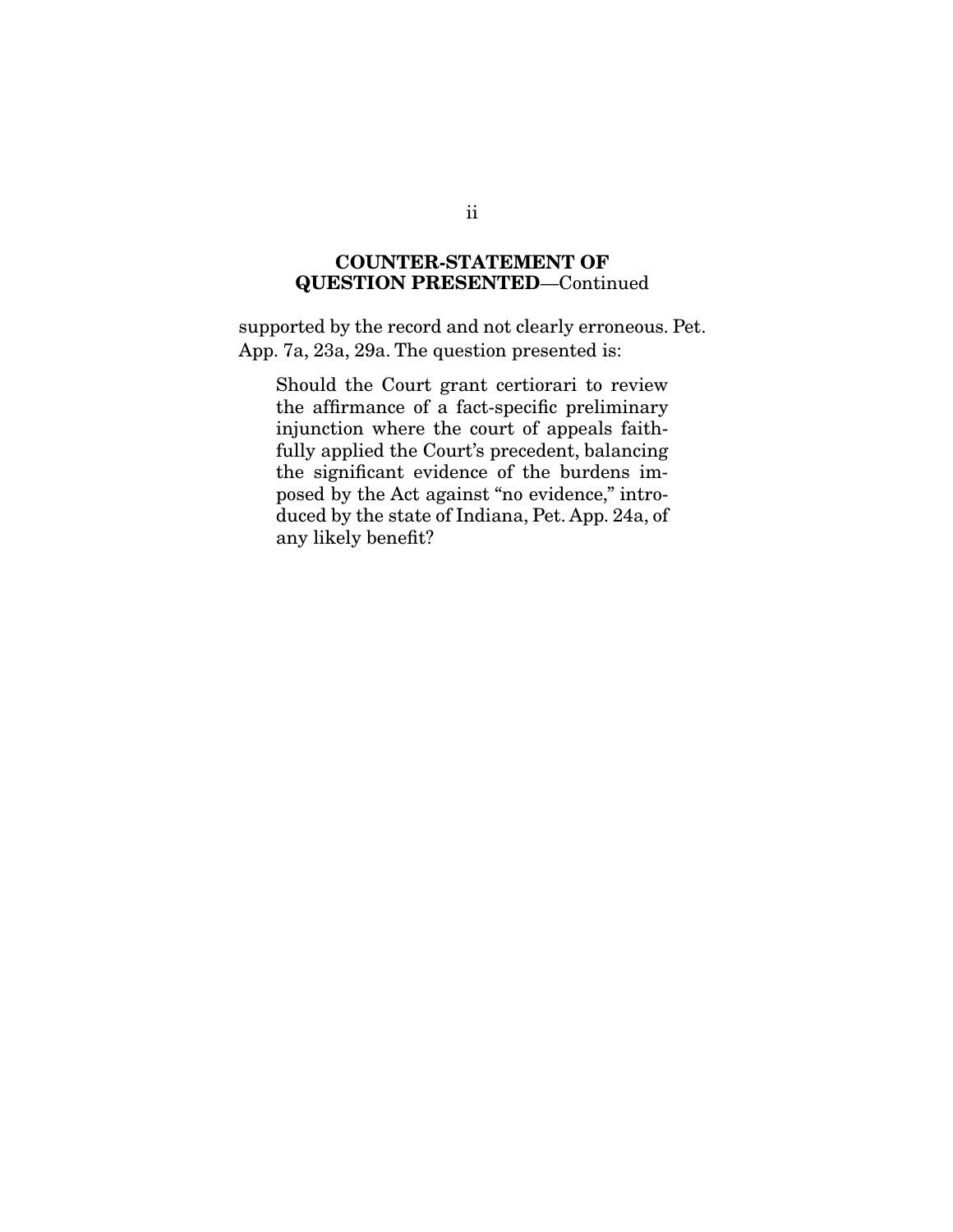### **COUNTER-STATEMENT OF QUESTION PRESENTED**—Continued

supported by the record and not clearly erroneous. Pet. App. 7a, 23a, 29a. The question presented is:

Should the Court grant certiorari to review the affirmance of a fact-specific preliminary injunction where the court of appeals faithfully applied the Court's precedent, balancing the significant evidence of the burdens imposed by the Act against "no evidence," introduced by the state of Indiana, Pet. App. 24a, of any likely benefit?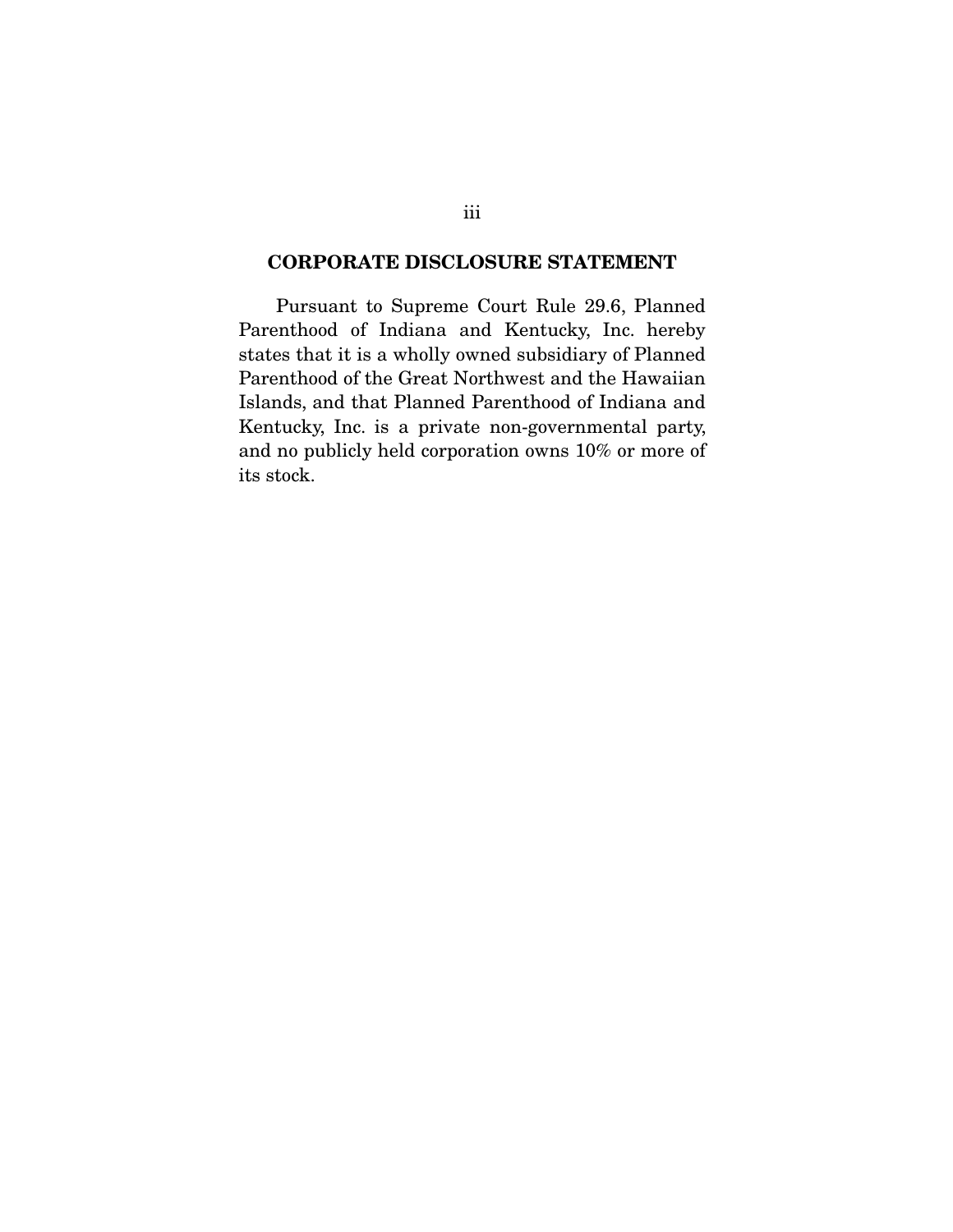### **CORPORATE DISCLOSURE STATEMENT**

 Pursuant to Supreme Court Rule 29.6, Planned Parenthood of Indiana and Kentucky, Inc. hereby states that it is a wholly owned subsidiary of Planned Parenthood of the Great Northwest and the Hawaiian Islands, and that Planned Parenthood of Indiana and Kentucky, Inc. is a private non-governmental party, and no publicly held corporation owns 10% or more of its stock.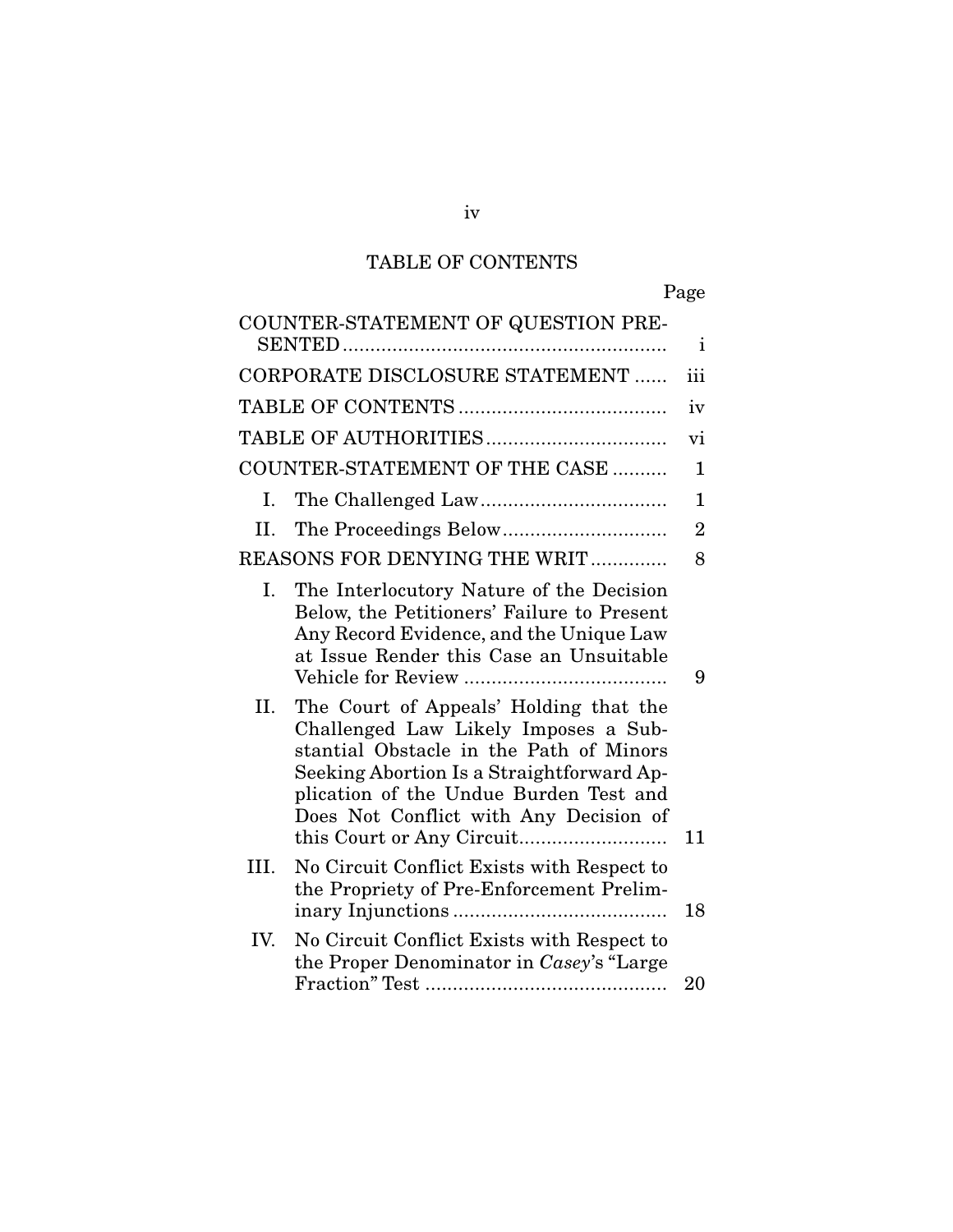# TABLE OF CONTENTS

| COUNTER-STATEMENT OF QUESTION PRE-                                                                                                                                                                                                                               | i              |
|------------------------------------------------------------------------------------------------------------------------------------------------------------------------------------------------------------------------------------------------------------------|----------------|
| CORPORATE DISCLOSURE STATEMENT                                                                                                                                                                                                                                   | iii            |
|                                                                                                                                                                                                                                                                  | iv             |
|                                                                                                                                                                                                                                                                  | vi             |
| COUNTER-STATEMENT OF THE CASE                                                                                                                                                                                                                                    | $\mathbf 1$    |
| I.                                                                                                                                                                                                                                                               | 1              |
| Н.                                                                                                                                                                                                                                                               | $\overline{2}$ |
| REASONS FOR DENYING THE WRIT                                                                                                                                                                                                                                     | 8              |
| I.<br>The Interlocutory Nature of the Decision<br>Below, the Petitioners' Failure to Present<br>Any Record Evidence, and the Unique Law<br>at Issue Render this Case an Unsuitable                                                                               | 9              |
| П.<br>The Court of Appeals' Holding that the<br>Challenged Law Likely Imposes a Sub-<br>stantial Obstacle in the Path of Minors<br>Seeking Abortion Is a Straightforward Ap-<br>plication of the Undue Burden Test and<br>Does Not Conflict with Any Decision of | 11             |
| III.<br>No Circuit Conflict Exists with Respect to<br>the Propriety of Pre-Enforcement Prelim-                                                                                                                                                                   | 18             |
| IV.<br>No Circuit Conflict Exists with Respect to<br>the Proper Denominator in Casey's "Large"                                                                                                                                                                   | 20             |

iv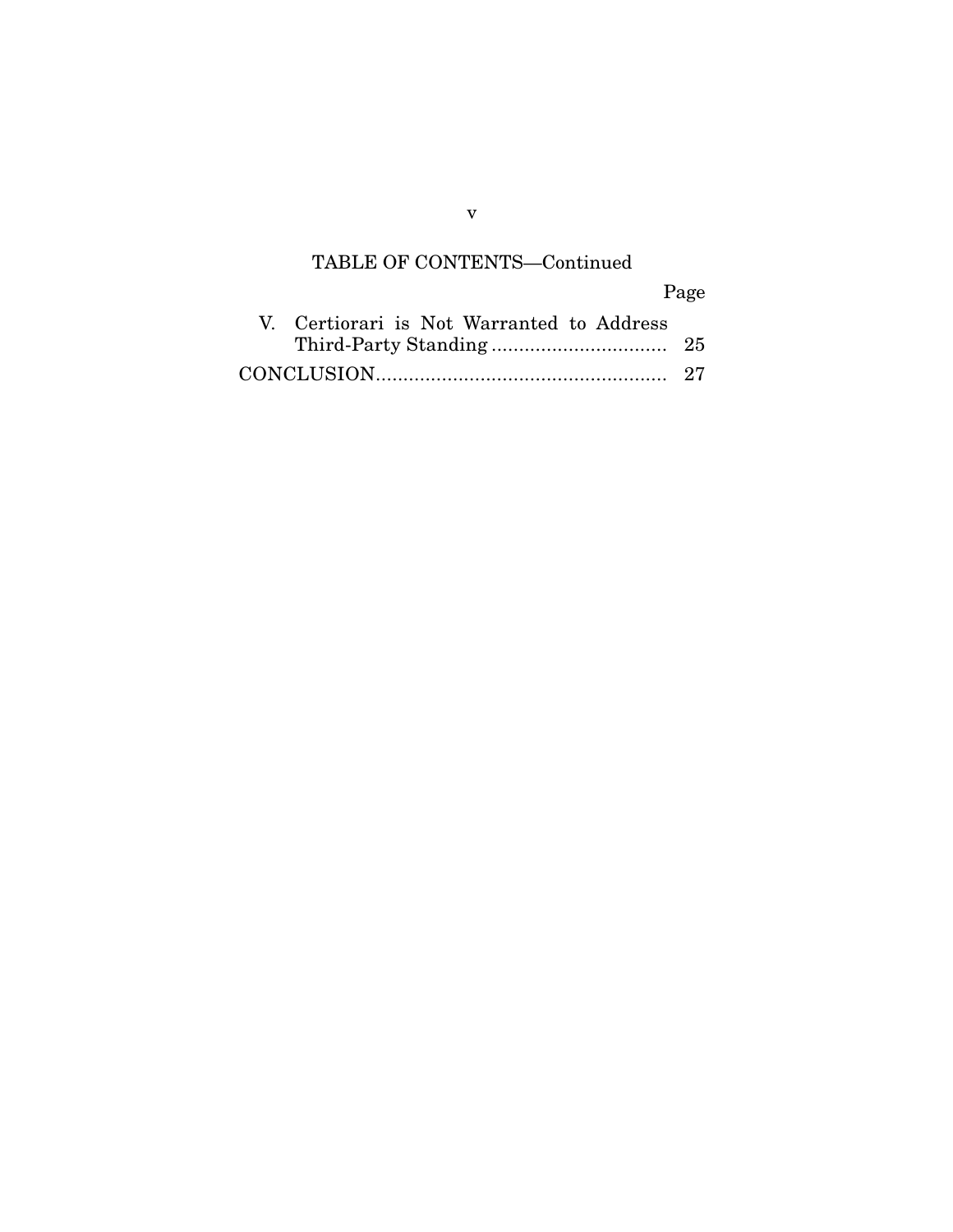## TABLE OF CONTENTS—Continued

Page V. Certiorari is Not Warranted to Address Third-Party Standing ................................ 25 CONCLUSION ..................................................... 27

v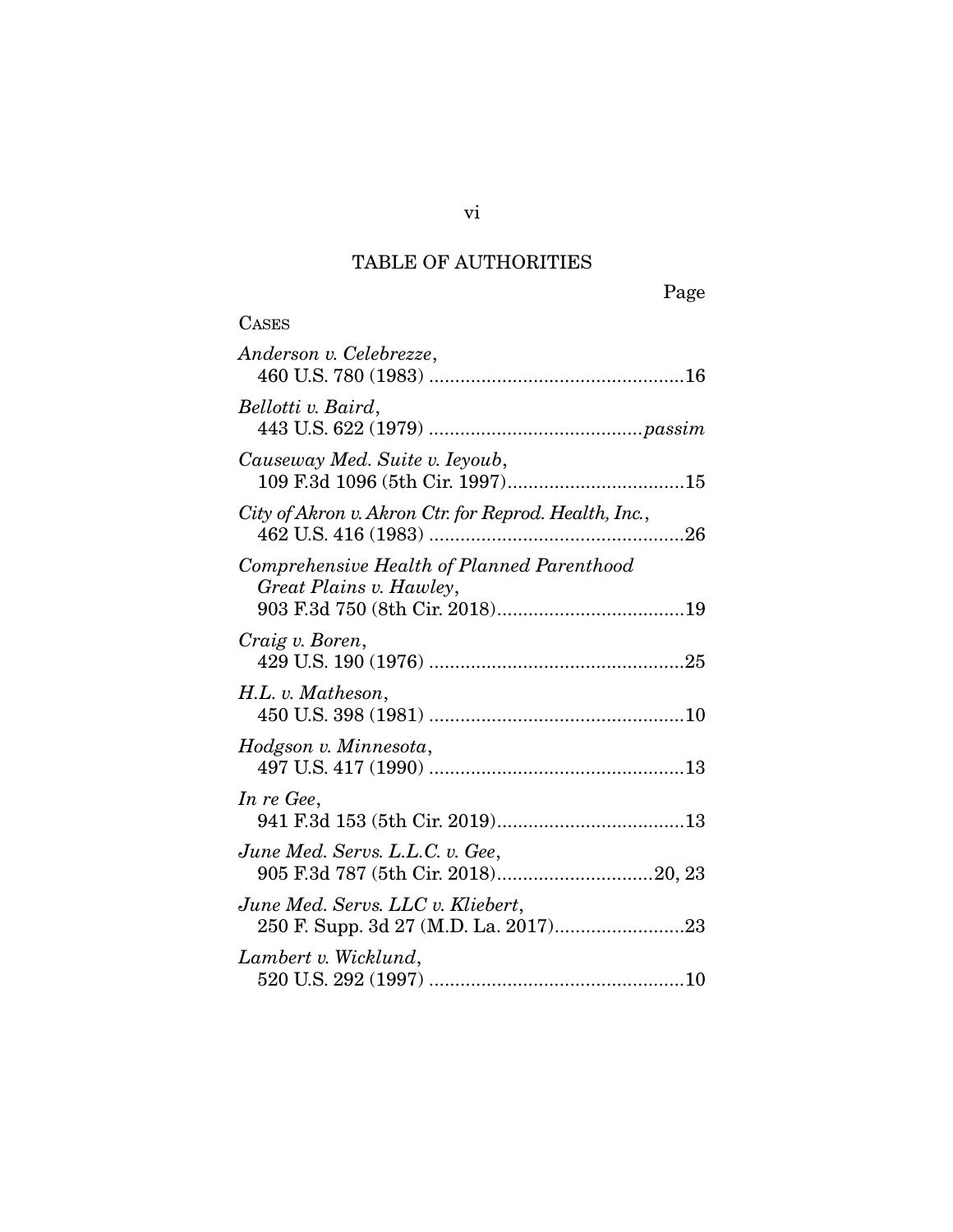# TABLE OF AUTHORITIES

| <b>CASES</b>                                                          |
|-----------------------------------------------------------------------|
| Anderson v. Celebrezze,                                               |
| Bellotti v. Baird,                                                    |
| Causeway Med. Suite v. Ieyoub,                                        |
| City of Akron v. Akron Ctr. for Reprod. Health, Inc.,                 |
| Comprehensive Health of Planned Parenthood<br>Great Plains v. Hawley, |
| Craig v. Boren,                                                       |
| H.L. v. Matheson,                                                     |
| Hodgson v. Minnesota,                                                 |
| In re Gee,                                                            |
| June Med. Servs. L.L.C. v. Gee,                                       |
| June Med. Servs. LLC v. Kliebert,                                     |
| Lambert v. Wicklund,                                                  |

vi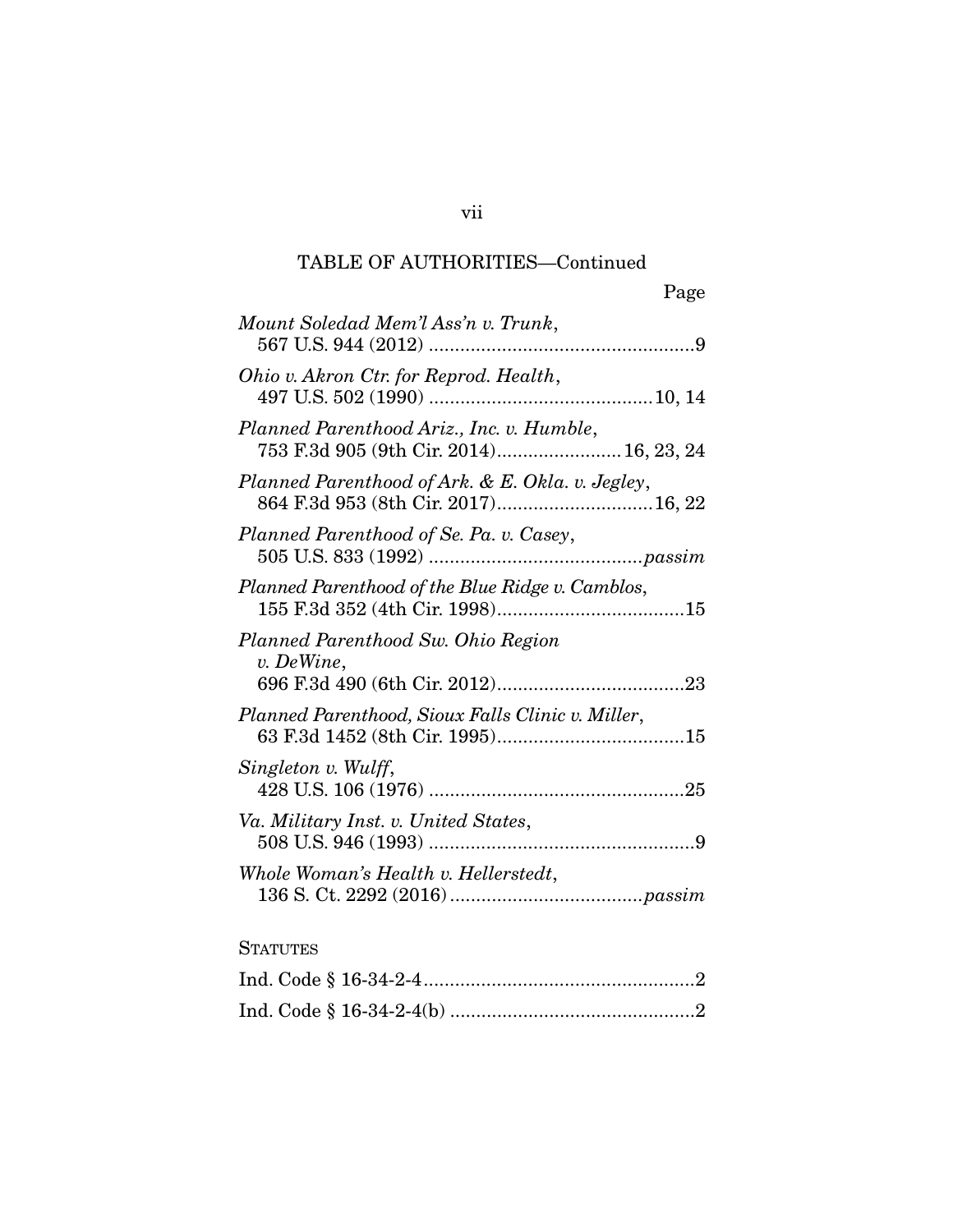# TABLE OF AUTHORITIES—Continued

|                                                                                         | Page |
|-----------------------------------------------------------------------------------------|------|
| Mount Soledad Mem'l Ass'n v. Trunk,                                                     |      |
| Ohio v. Akron Ctr. for Reprod. Health,                                                  |      |
| Planned Parenthood Ariz., Inc. v. Humble,<br>753 F.3d 905 (9th Cir. 2014) 16, 23, 24    |      |
| Planned Parenthood of Ark. & E. Okla. v. Jegley,<br>864 F.3d 953 (8th Cir. 2017) 16, 22 |      |
| Planned Parenthood of Se. Pa. v. Casey,                                                 |      |
| Planned Parenthood of the Blue Ridge v. Camblos,                                        |      |
| Planned Parenthood Sw. Ohio Region<br>v. DeWine,                                        |      |
| Planned Parenthood, Sioux Falls Clinic v. Miller,                                       |      |
| Singleton v. Wulff,                                                                     |      |
| Va. Military Inst. v. United States,                                                    |      |
| Whole Woman's Health v. Hellerstedt,                                                    |      |

# **STATUTES**

vii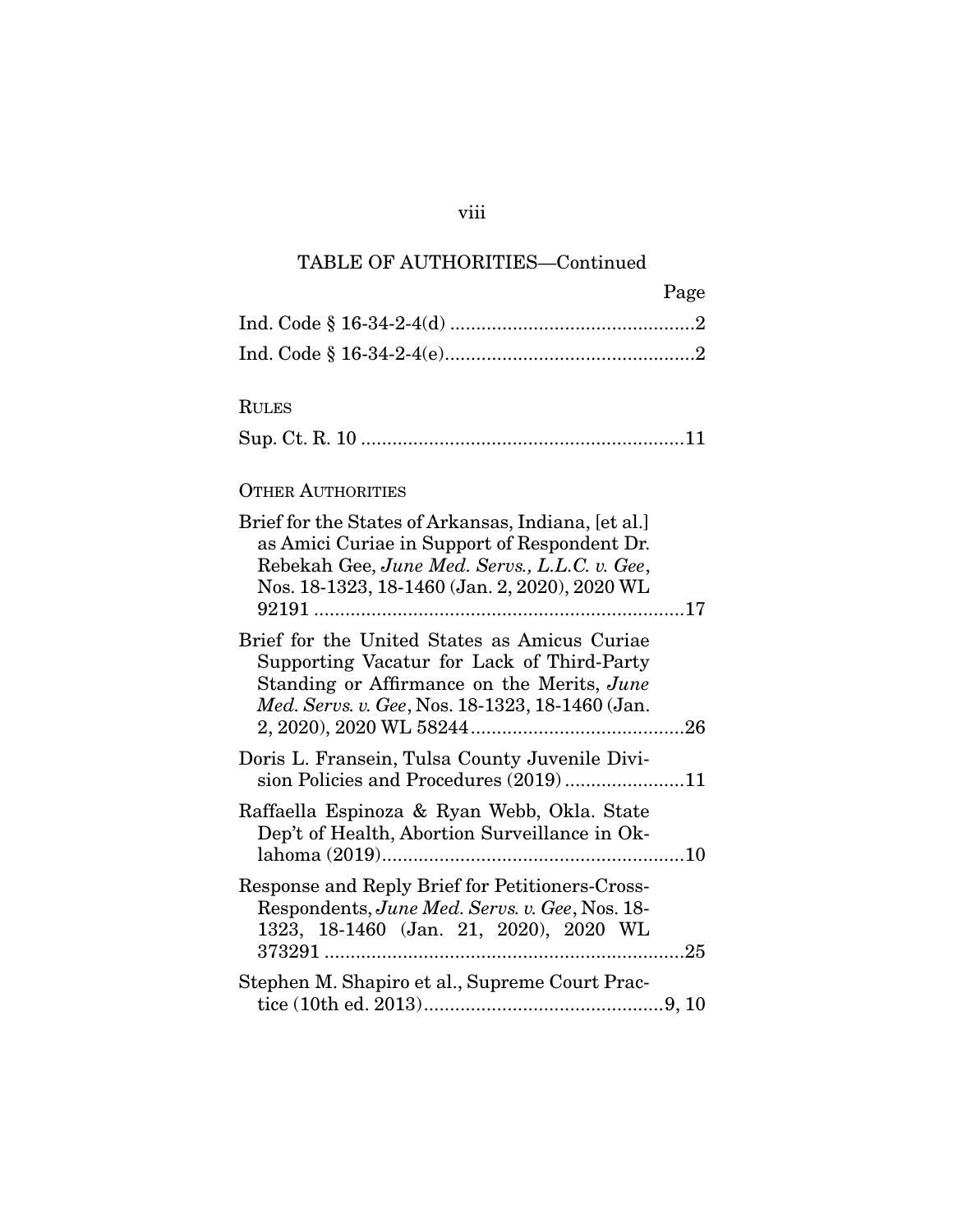# TABLE OF AUTHORITIES—Continued

| Page |
|------|
|      |
|      |
|      |

### RULES

|--|--|--|

## OTHER AUTHORITIES

| Brief for the States of Arkansas, Indiana, [et al.]<br>as Amici Curiae in Support of Respondent Dr.<br>Rebekah Gee, June Med. Servs., L.L.C. v. Gee,<br>Nos. 18-1323, 18-1460 (Jan. 2, 2020), 2020 WL |  |
|-------------------------------------------------------------------------------------------------------------------------------------------------------------------------------------------------------|--|
| Brief for the United States as Amicus Curiae<br>Supporting Vacatur for Lack of Third-Party<br>Standing or Affirmance on the Merits, June<br>Med. Servs. v. Gee, Nos. 18-1323, 18-1460 (Jan.           |  |
| Doris L. Fransein, Tulsa County Juvenile Divi-<br>sion Policies and Procedures (2019)11                                                                                                               |  |
| Raffaella Espinoza & Ryan Webb, Okla. State<br>Dep't of Health, Abortion Surveillance in Ok-                                                                                                          |  |
| Response and Reply Brief for Petitioners-Cross-<br>Respondents, June Med. Servs. v. Gee, Nos. 18-<br>1323, 18-1460 (Jan. 21, 2020), 2020 WL                                                           |  |
| Stephen M. Shapiro et al., Supreme Court Prac-                                                                                                                                                        |  |

# viii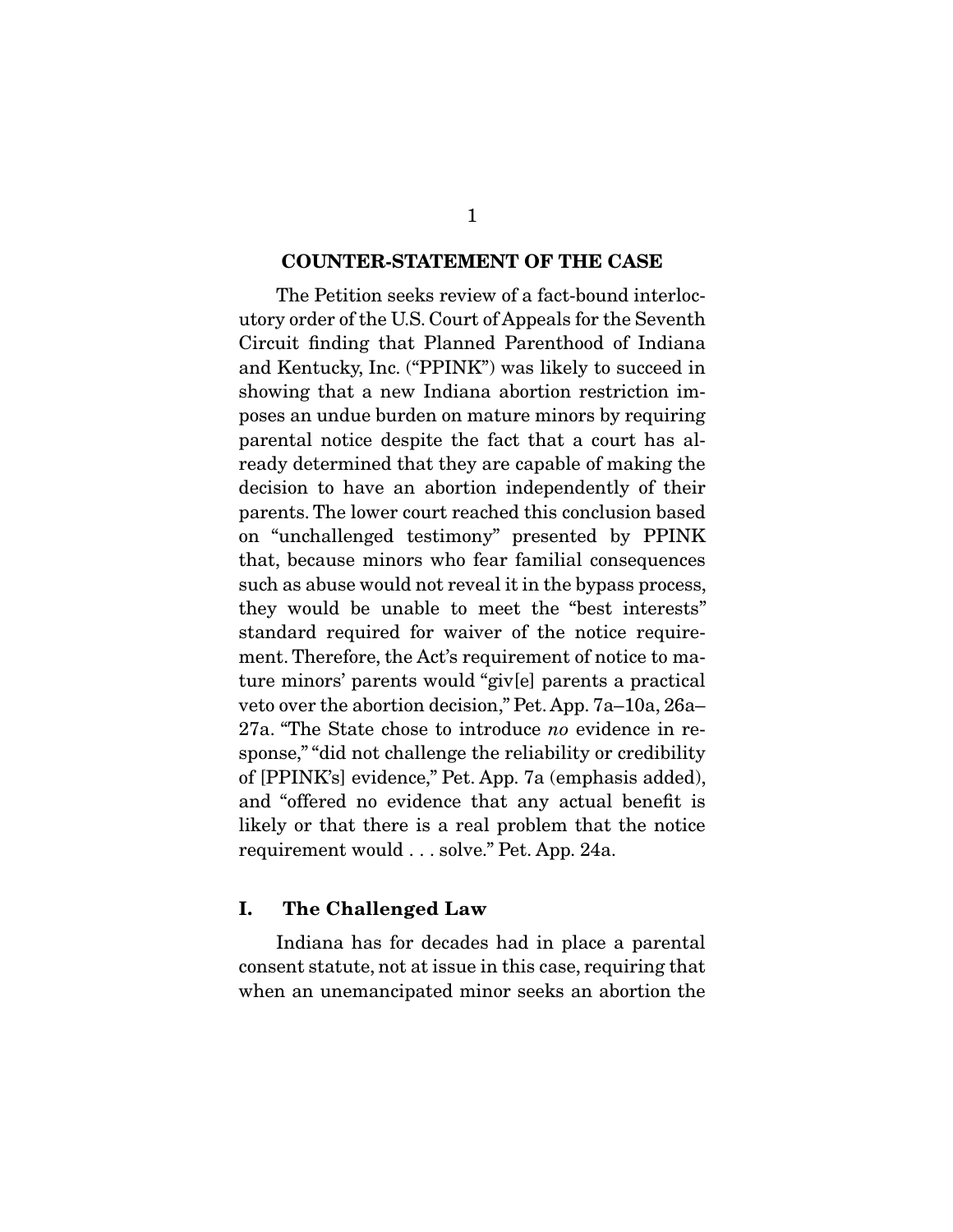#### **COUNTER-STATEMENT OF THE CASE**

 The Petition seeks review of a fact-bound interlocutory order of the U.S. Court of Appeals for the Seventh Circuit finding that Planned Parenthood of Indiana and Kentucky, Inc. ("PPINK") was likely to succeed in showing that a new Indiana abortion restriction imposes an undue burden on mature minors by requiring parental notice despite the fact that a court has already determined that they are capable of making the decision to have an abortion independently of their parents. The lower court reached this conclusion based on "unchallenged testimony" presented by PPINK that, because minors who fear familial consequences such as abuse would not reveal it in the bypass process, they would be unable to meet the "best interests" standard required for waiver of the notice requirement. Therefore, the Act's requirement of notice to mature minors' parents would "giv[e] parents a practical veto over the abortion decision," Pet. App. 7a–10a, 26a– 27a. "The State chose to introduce no evidence in response," "did not challenge the reliability or credibility of [PPINK's] evidence," Pet. App. 7a (emphasis added), and "offered no evidence that any actual benefit is likely or that there is a real problem that the notice requirement would . . . solve." Pet. App. 24a.

#### **I. The Challenged Law**

 Indiana has for decades had in place a parental consent statute, not at issue in this case, requiring that when an unemancipated minor seeks an abortion the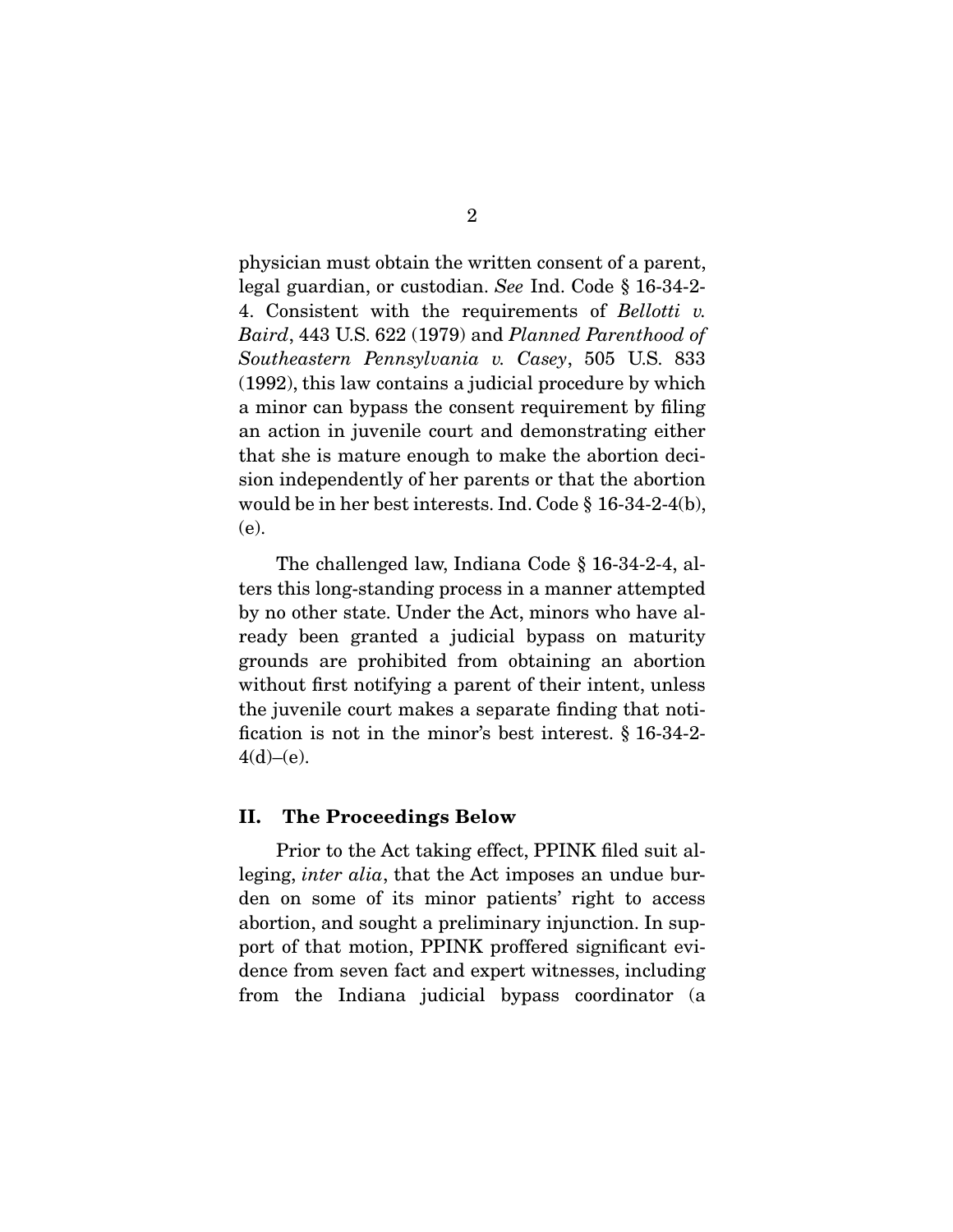physician must obtain the written consent of a parent, legal guardian, or custodian. See Ind. Code § 16-34-2- 4. Consistent with the requirements of Bellotti v. Baird, 443 U.S. 622 (1979) and Planned Parenthood of Southeastern Pennsylvania v. Casey, 505 U.S. 833 (1992), this law contains a judicial procedure by which a minor can bypass the consent requirement by filing an action in juvenile court and demonstrating either that she is mature enough to make the abortion decision independently of her parents or that the abortion would be in her best interests. Ind. Code § 16-34-2-4(b), (e).

 The challenged law, Indiana Code § 16-34-2-4, alters this long-standing process in a manner attempted by no other state. Under the Act, minors who have already been granted a judicial bypass on maturity grounds are prohibited from obtaining an abortion without first notifying a parent of their intent, unless the juvenile court makes a separate finding that notification is not in the minor's best interest. § 16-34-2-  $4(d)–(e)$ .

#### **II. The Proceedings Below**

 Prior to the Act taking effect, PPINK filed suit alleging, *inter alia*, that the Act imposes an undue burden on some of its minor patients' right to access abortion, and sought a preliminary injunction. In support of that motion, PPINK proffered significant evidence from seven fact and expert witnesses, including from the Indiana judicial bypass coordinator (a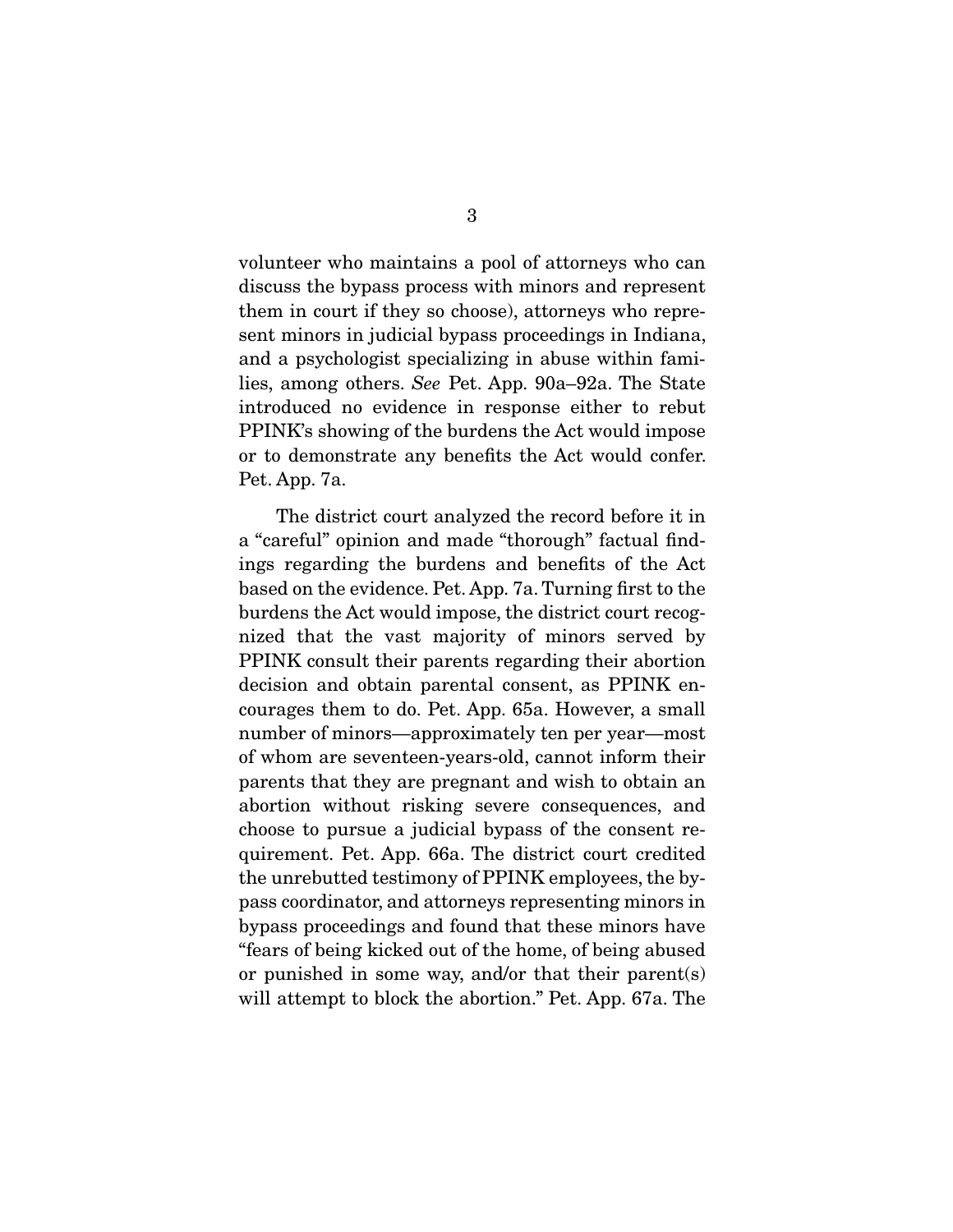volunteer who maintains a pool of attorneys who can discuss the bypass process with minors and represent them in court if they so choose), attorneys who represent minors in judicial bypass proceedings in Indiana, and a psychologist specializing in abuse within families, among others. See Pet. App. 90a–92a. The State introduced no evidence in response either to rebut PPINK's showing of the burdens the Act would impose or to demonstrate any benefits the Act would confer. Pet. App. 7a.

 The district court analyzed the record before it in a "careful" opinion and made "thorough" factual findings regarding the burdens and benefits of the Act based on the evidence. Pet. App. 7a. Turning first to the burdens the Act would impose, the district court recognized that the vast majority of minors served by PPINK consult their parents regarding their abortion decision and obtain parental consent, as PPINK encourages them to do. Pet. App. 65a. However, a small number of minors—approximately ten per year—most of whom are seventeen-years-old, cannot inform their parents that they are pregnant and wish to obtain an abortion without risking severe consequences, and choose to pursue a judicial bypass of the consent requirement. Pet. App. 66a. The district court credited the unrebutted testimony of PPINK employees, the bypass coordinator, and attorneys representing minors in bypass proceedings and found that these minors have "fears of being kicked out of the home, of being abused or punished in some way, and/or that their parent(s) will attempt to block the abortion." Pet. App. 67a. The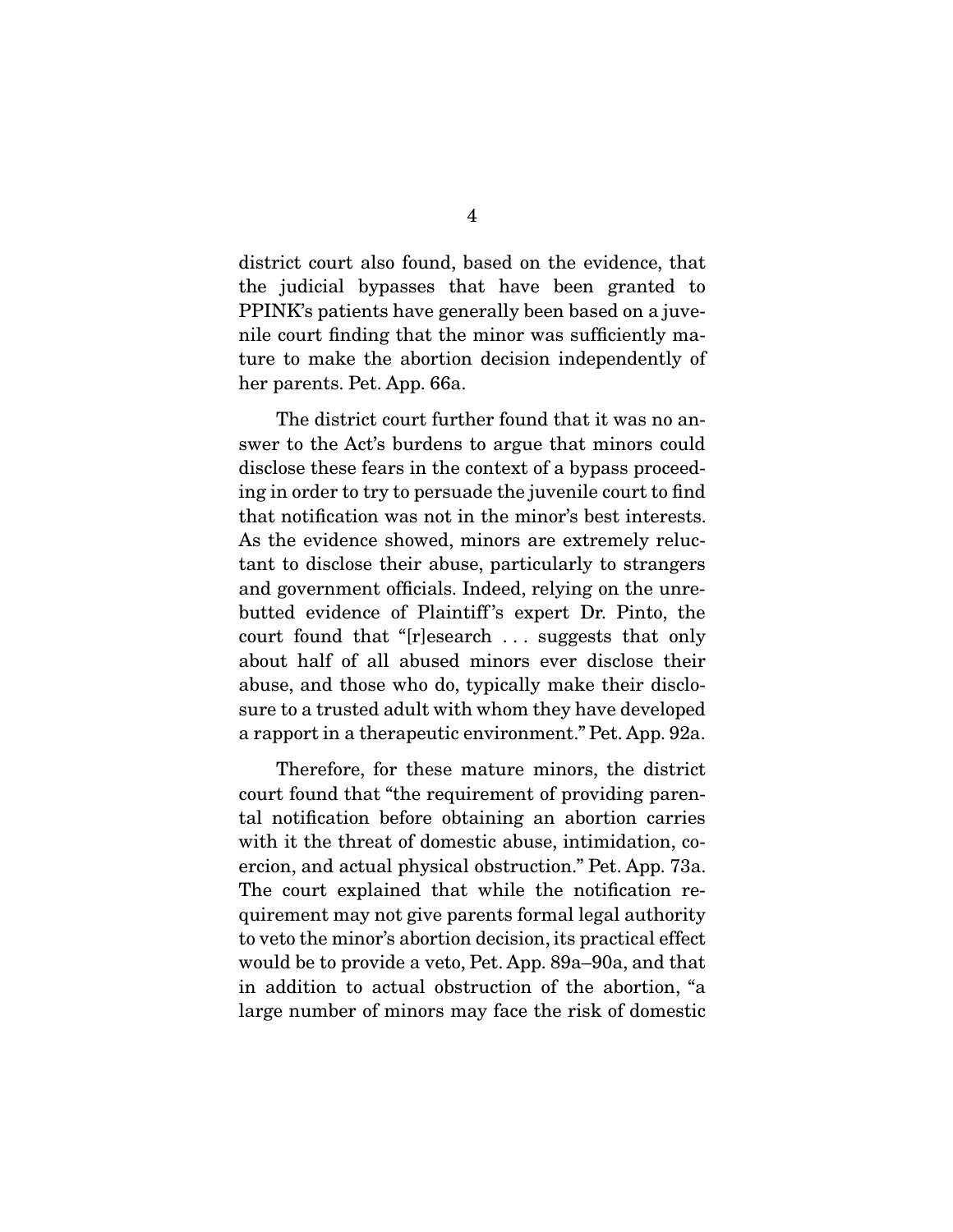district court also found, based on the evidence, that the judicial bypasses that have been granted to PPINK's patients have generally been based on a juvenile court finding that the minor was sufficiently mature to make the abortion decision independently of her parents. Pet. App. 66a.

 The district court further found that it was no answer to the Act's burdens to argue that minors could disclose these fears in the context of a bypass proceeding in order to try to persuade the juvenile court to find that notification was not in the minor's best interests. As the evidence showed, minors are extremely reluctant to disclose their abuse, particularly to strangers and government officials. Indeed, relying on the unrebutted evidence of Plaintiff 's expert Dr. Pinto, the court found that "[r]esearch . . . suggests that only about half of all abused minors ever disclose their abuse, and those who do, typically make their disclosure to a trusted adult with whom they have developed a rapport in a therapeutic environment." Pet. App. 92a.

 Therefore, for these mature minors, the district court found that "the requirement of providing parental notification before obtaining an abortion carries with it the threat of domestic abuse, intimidation, coercion, and actual physical obstruction." Pet. App. 73a. The court explained that while the notification requirement may not give parents formal legal authority to veto the minor's abortion decision, its practical effect would be to provide a veto, Pet. App. 89a–90a, and that in addition to actual obstruction of the abortion, "a large number of minors may face the risk of domestic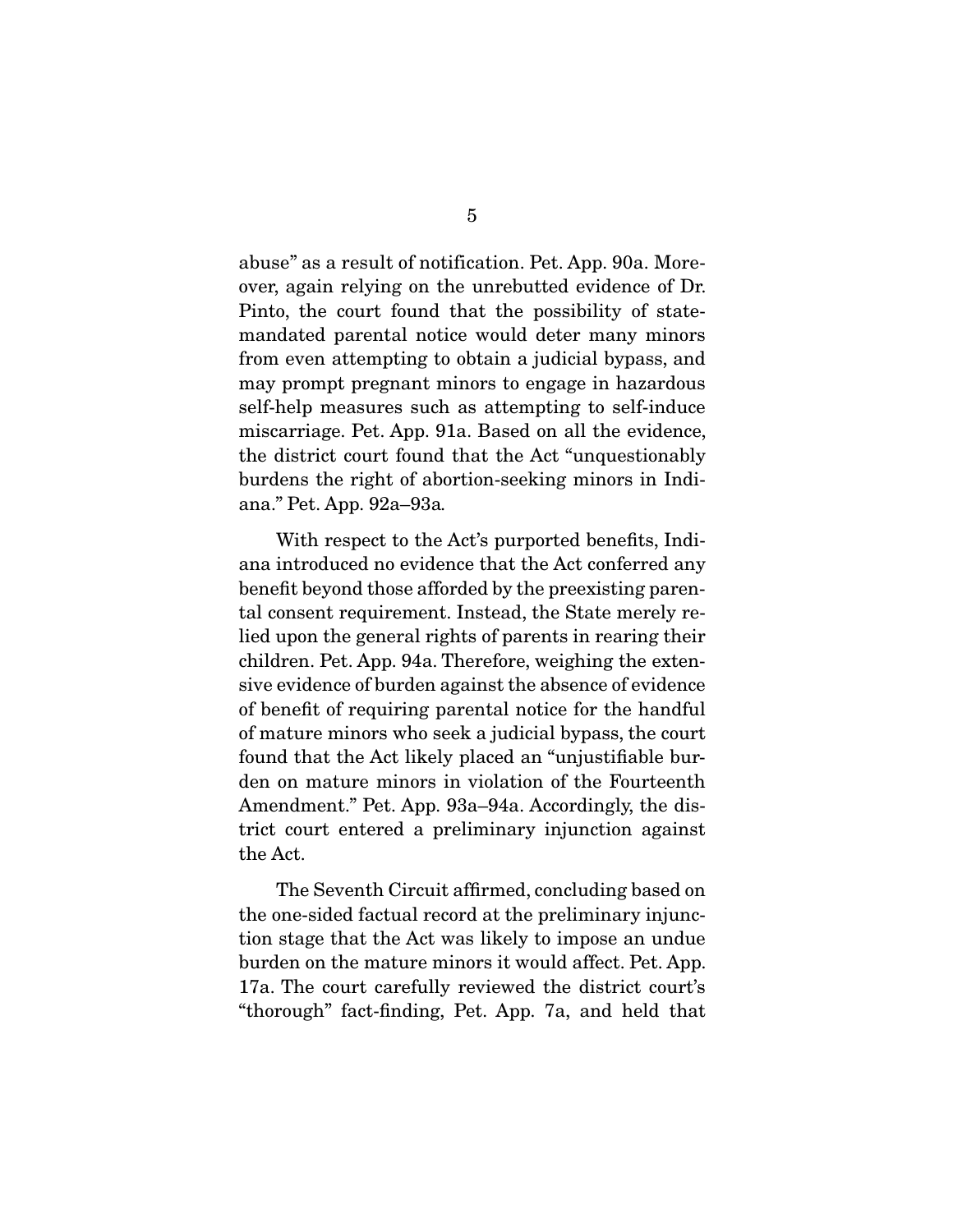abuse" as a result of notification. Pet. App. 90a. Moreover, again relying on the unrebutted evidence of Dr. Pinto, the court found that the possibility of statemandated parental notice would deter many minors from even attempting to obtain a judicial bypass, and may prompt pregnant minors to engage in hazardous self-help measures such as attempting to self-induce miscarriage. Pet. App. 91a. Based on all the evidence, the district court found that the Act "unquestionably burdens the right of abortion-seeking minors in Indiana." Pet. App. 92a–93a.

 With respect to the Act's purported benefits, Indiana introduced no evidence that the Act conferred any benefit beyond those afforded by the preexisting parental consent requirement. Instead, the State merely relied upon the general rights of parents in rearing their children. Pet. App. 94a. Therefore, weighing the extensive evidence of burden against the absence of evidence of benefit of requiring parental notice for the handful of mature minors who seek a judicial bypass, the court found that the Act likely placed an "unjustifiable burden on mature minors in violation of the Fourteenth Amendment." Pet. App. 93a–94a. Accordingly, the district court entered a preliminary injunction against the Act.

 The Seventh Circuit affirmed, concluding based on the one-sided factual record at the preliminary injunction stage that the Act was likely to impose an undue burden on the mature minors it would affect. Pet. App. 17a. The court carefully reviewed the district court's "thorough" fact-finding, Pet. App. 7a, and held that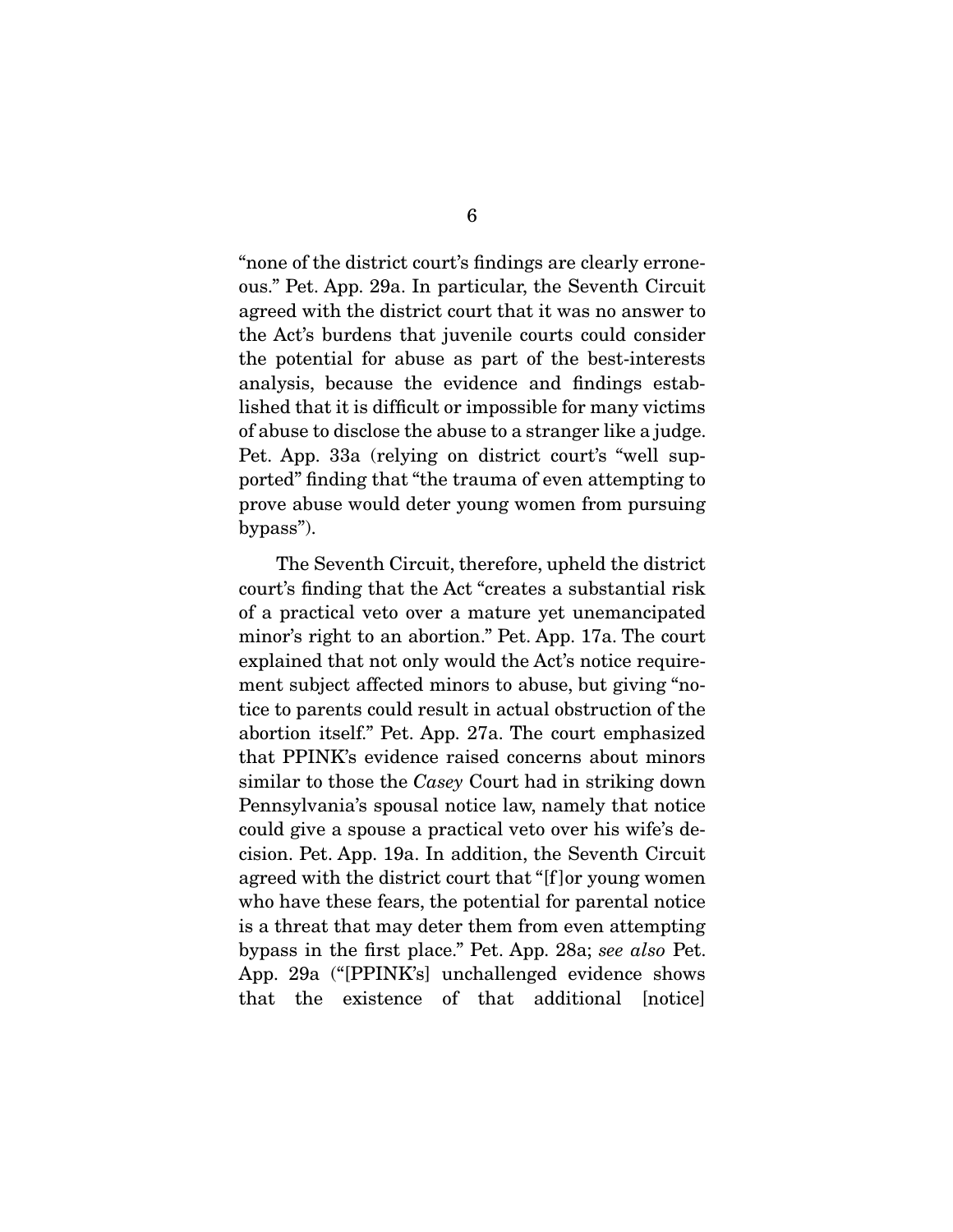"none of the district court's findings are clearly erroneous." Pet. App. 29a. In particular, the Seventh Circuit agreed with the district court that it was no answer to the Act's burdens that juvenile courts could consider the potential for abuse as part of the best-interests analysis, because the evidence and findings established that it is difficult or impossible for many victims of abuse to disclose the abuse to a stranger like a judge. Pet. App. 33a (relying on district court's "well supported" finding that "the trauma of even attempting to prove abuse would deter young women from pursuing bypass").

 The Seventh Circuit, therefore, upheld the district court's finding that the Act "creates a substantial risk of a practical veto over a mature yet unemancipated minor's right to an abortion." Pet. App. 17a. The court explained that not only would the Act's notice requirement subject affected minors to abuse, but giving "notice to parents could result in actual obstruction of the abortion itself." Pet. App. 27a. The court emphasized that PPINK's evidence raised concerns about minors similar to those the Casey Court had in striking down Pennsylvania's spousal notice law, namely that notice could give a spouse a practical veto over his wife's decision. Pet. App. 19a. In addition, the Seventh Circuit agreed with the district court that "[f ]or young women who have these fears, the potential for parental notice is a threat that may deter them from even attempting bypass in the first place." Pet. App. 28a; see also Pet. App. 29a ("[PPINK's] unchallenged evidence shows that the existence of that additional [notice]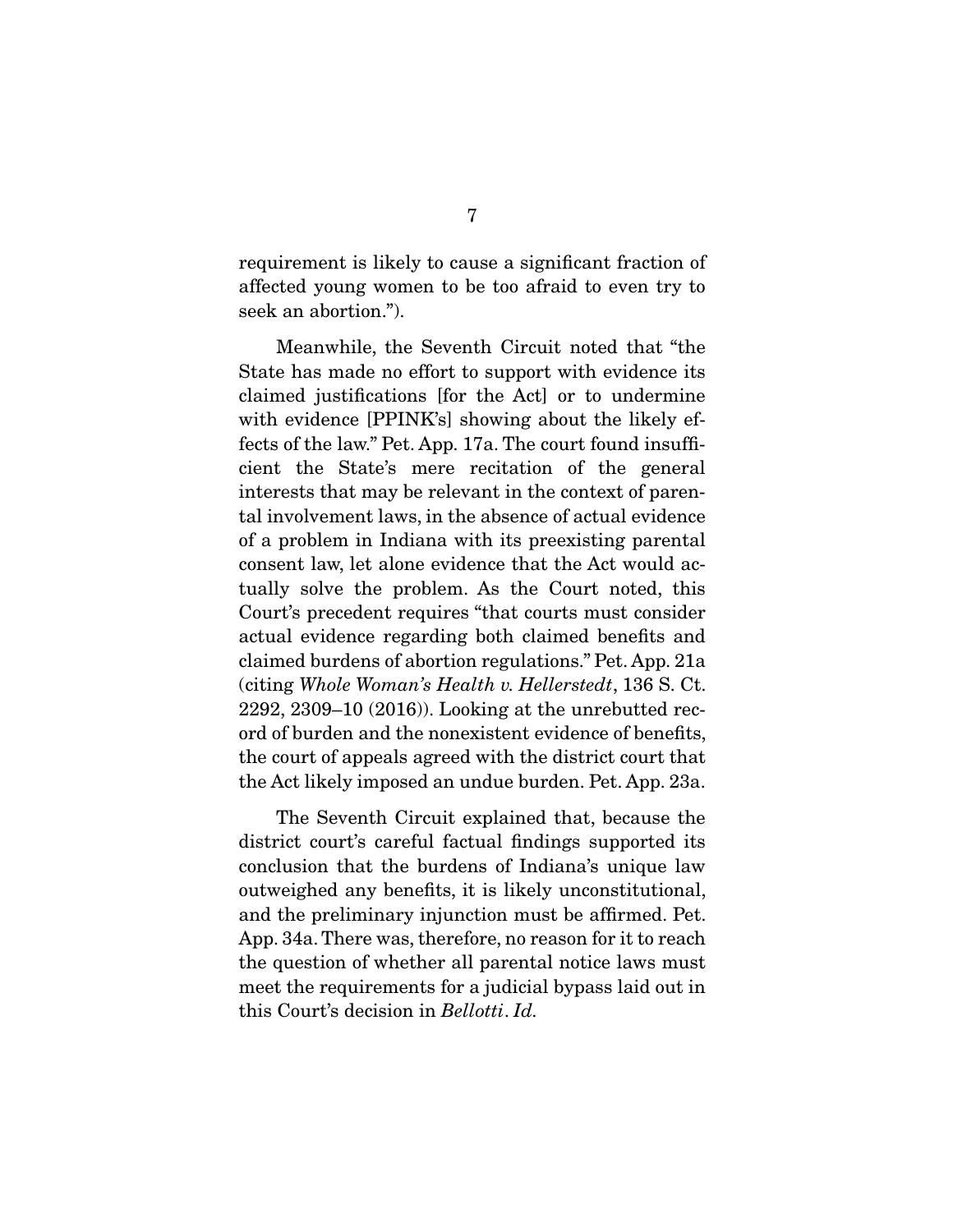requirement is likely to cause a significant fraction of affected young women to be too afraid to even try to seek an abortion.").

 Meanwhile, the Seventh Circuit noted that "the State has made no effort to support with evidence its claimed justifications [for the Act] or to undermine with evidence [PPINK's] showing about the likely effects of the law." Pet. App. 17a. The court found insufficient the State's mere recitation of the general interests that may be relevant in the context of parental involvement laws, in the absence of actual evidence of a problem in Indiana with its preexisting parental consent law, let alone evidence that the Act would actually solve the problem. As the Court noted, this Court's precedent requires "that courts must consider actual evidence regarding both claimed benefits and claimed burdens of abortion regulations." Pet. App. 21a (citing Whole Woman's Health v. Hellerstedt, 136 S. Ct. 2292, 2309–10 (2016)). Looking at the unrebutted record of burden and the nonexistent evidence of benefits, the court of appeals agreed with the district court that the Act likely imposed an undue burden. Pet. App. 23a.

 The Seventh Circuit explained that, because the district court's careful factual findings supported its conclusion that the burdens of Indiana's unique law outweighed any benefits, it is likely unconstitutional, and the preliminary injunction must be affirmed. Pet. App. 34a. There was, therefore, no reason for it to reach the question of whether all parental notice laws must meet the requirements for a judicial bypass laid out in this Court's decision in Bellotti. Id.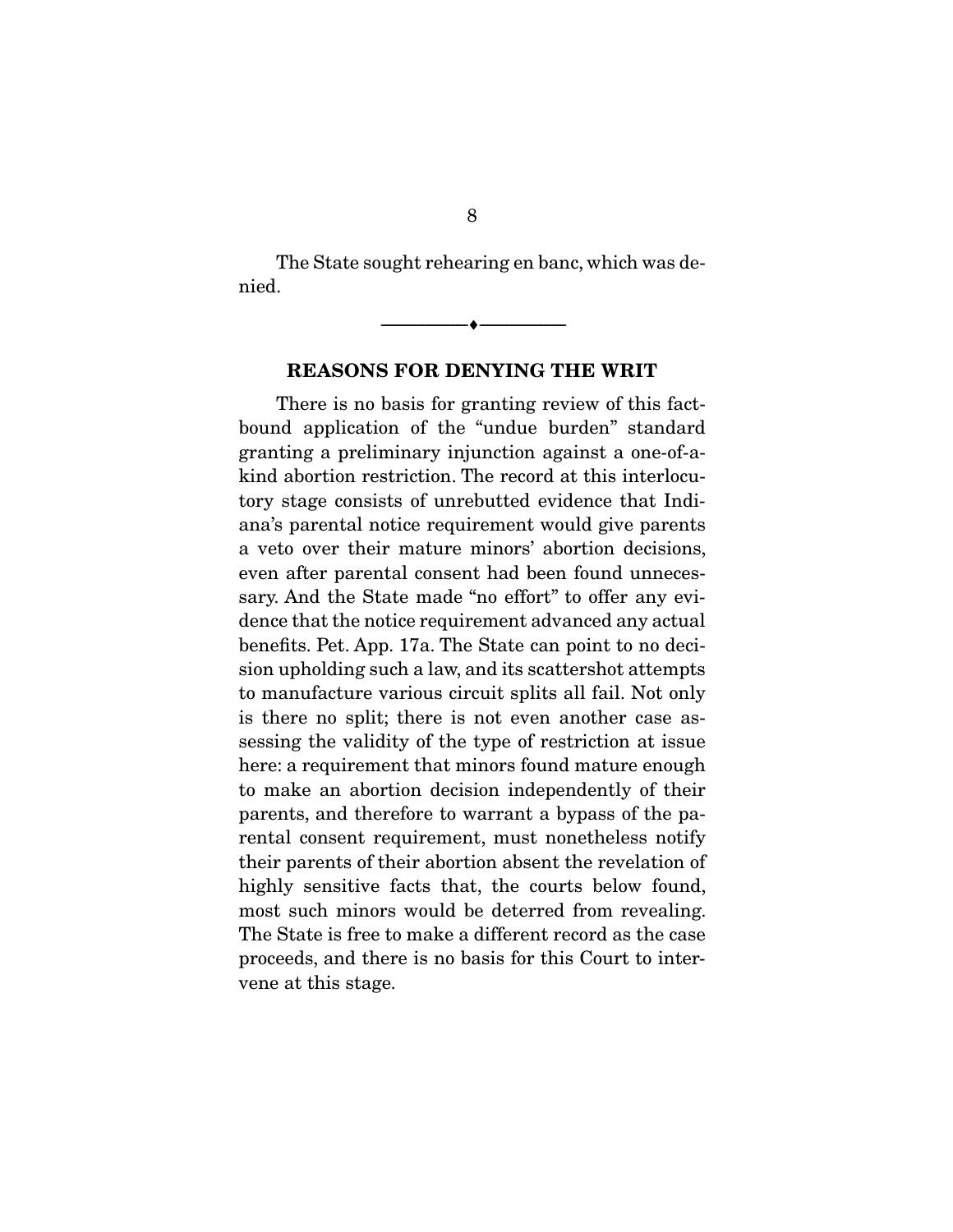The State sought rehearing en banc, which was denied.

> $\overbrace{\hspace{2.5cm}}^{\bullet}$   $\overbrace{\hspace{2.5cm}}^{\bullet}$ **REASONS FOR DENYING THE WRIT**

 There is no basis for granting review of this factbound application of the "undue burden" standard granting a preliminary injunction against a one-of-akind abortion restriction. The record at this interlocutory stage consists of unrebutted evidence that Indiana's parental notice requirement would give parents a veto over their mature minors' abortion decisions, even after parental consent had been found unnecessary. And the State made "no effort" to offer any evidence that the notice requirement advanced any actual benefits. Pet. App. 17a. The State can point to no decision upholding such a law, and its scattershot attempts to manufacture various circuit splits all fail. Not only is there no split; there is not even another case assessing the validity of the type of restriction at issue here: a requirement that minors found mature enough to make an abortion decision independently of their parents, and therefore to warrant a bypass of the parental consent requirement, must nonetheless notify their parents of their abortion absent the revelation of highly sensitive facts that, the courts below found, most such minors would be deterred from revealing. The State is free to make a different record as the case proceeds, and there is no basis for this Court to intervene at this stage.

8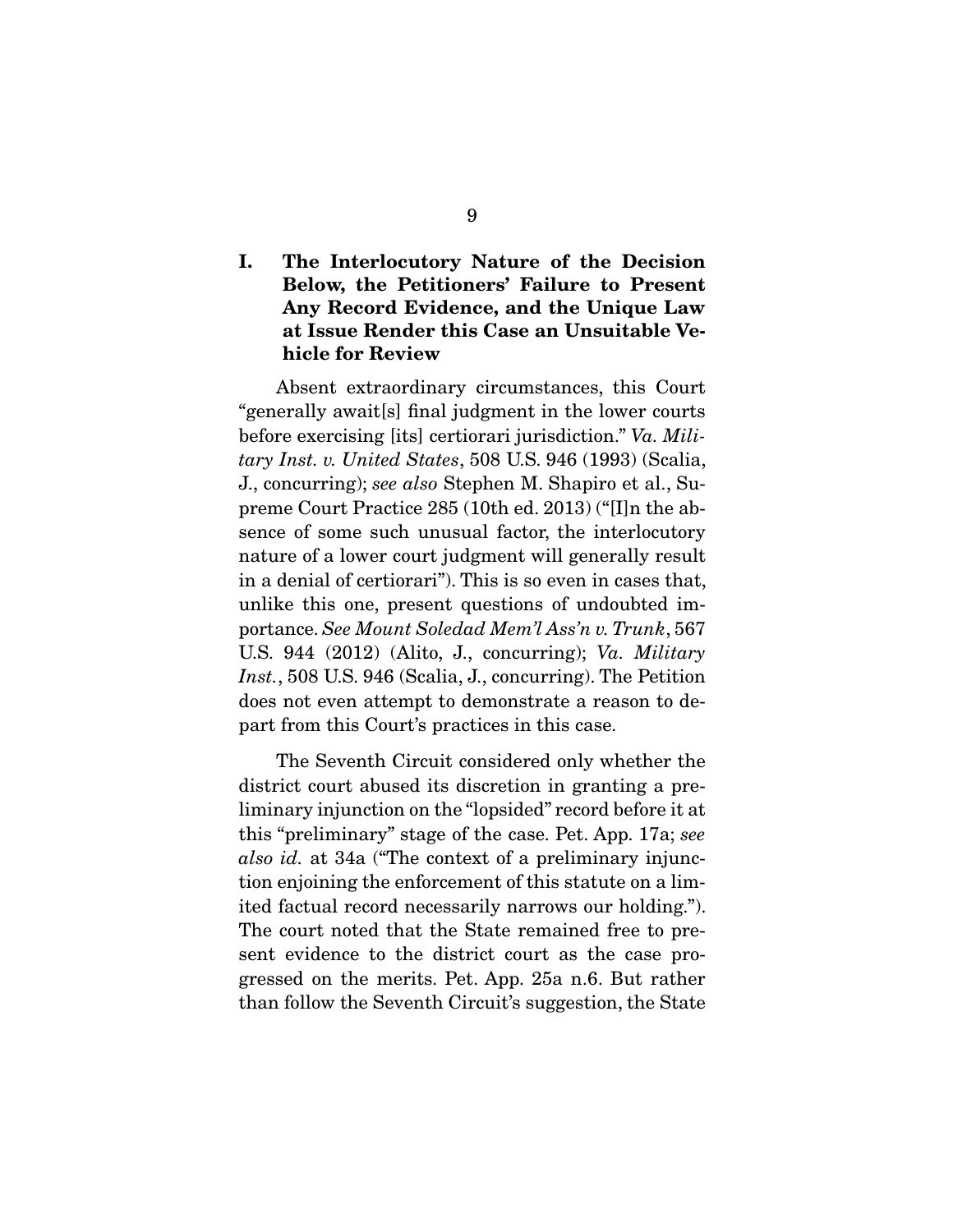## **I. The Interlocutory Nature of the Decision Below, the Petitioners' Failure to Present Any Record Evidence, and the Unique Law at Issue Render this Case an Unsuitable Vehicle for Review**

 Absent extraordinary circumstances, this Court "generally await[s] final judgment in the lower courts before exercising [its] certiorari jurisdiction." Va. Military Inst. v. United States, 508 U.S. 946 (1993) (Scalia, J., concurring); see also Stephen M. Shapiro et al., Supreme Court Practice 285 (10th ed. 2013) ("[I]n the absence of some such unusual factor, the interlocutory nature of a lower court judgment will generally result in a denial of certiorari"). This is so even in cases that, unlike this one, present questions of undoubted importance. See Mount Soledad Mem'l Ass'n v. Trunk, 567 U.S. 944 (2012) (Alito, J., concurring); Va. Military Inst., 508 U.S. 946 (Scalia, J., concurring). The Petition does not even attempt to demonstrate a reason to depart from this Court's practices in this case.

 The Seventh Circuit considered only whether the district court abused its discretion in granting a preliminary injunction on the "lopsided" record before it at this "preliminary" stage of the case. Pet. App. 17a; see also id. at 34a ("The context of a preliminary injunction enjoining the enforcement of this statute on a limited factual record necessarily narrows our holding."). The court noted that the State remained free to present evidence to the district court as the case progressed on the merits. Pet. App. 25a n.6. But rather than follow the Seventh Circuit's suggestion, the State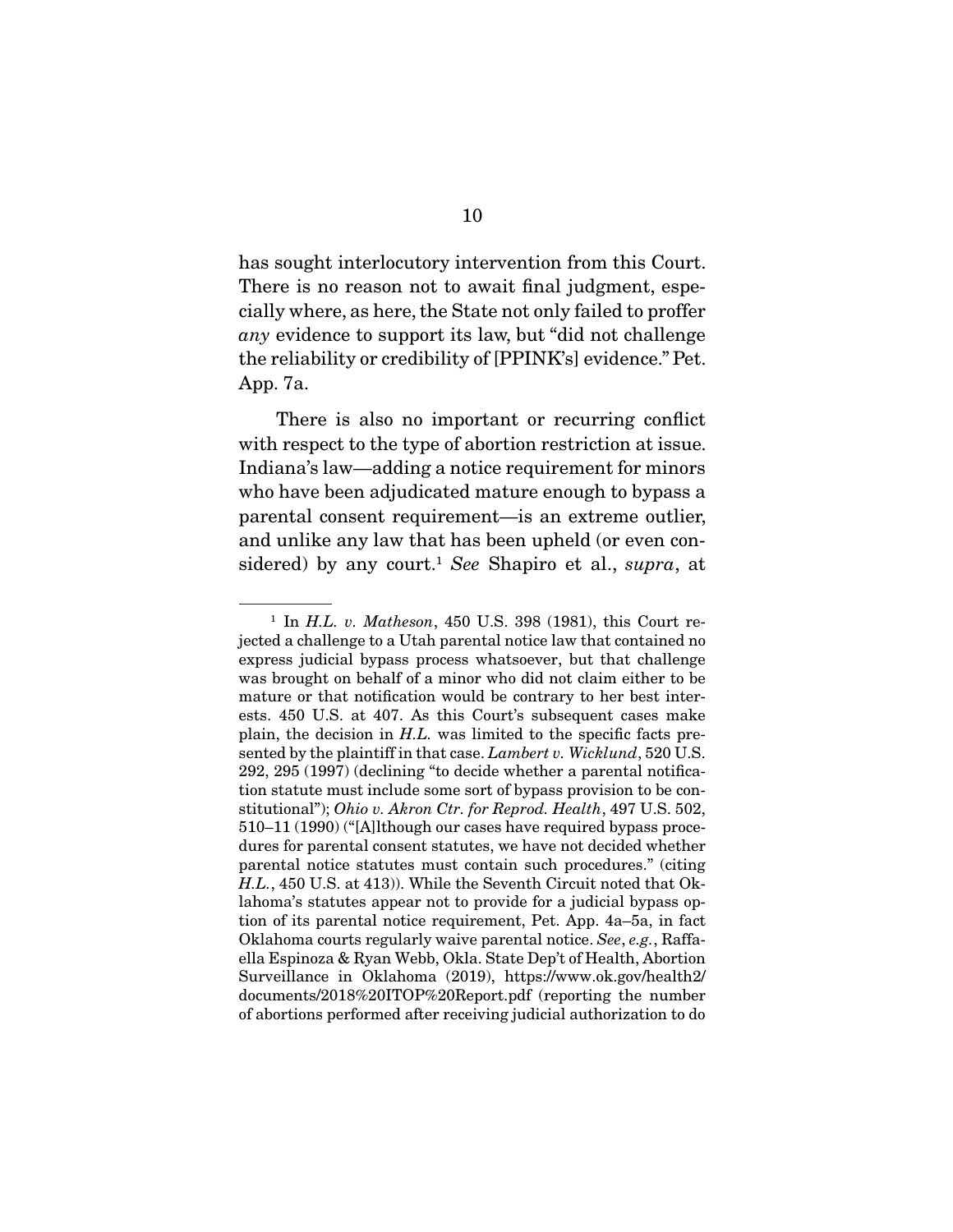has sought interlocutory intervention from this Court. There is no reason not to await final judgment, especially where, as here, the State not only failed to proffer any evidence to support its law, but "did not challenge the reliability or credibility of [PPINK's] evidence." Pet. App. 7a.

 There is also no important or recurring conflict with respect to the type of abortion restriction at issue. Indiana's law—adding a notice requirement for minors who have been adjudicated mature enough to bypass a parental consent requirement—is an extreme outlier, and unlike any law that has been upheld (or even considered) by any court.<sup>1</sup> See Shapiro et al., supra, at

 $1$  In H.L. v. Matheson, 450 U.S. 398 (1981), this Court rejected a challenge to a Utah parental notice law that contained no express judicial bypass process whatsoever, but that challenge was brought on behalf of a minor who did not claim either to be mature or that notification would be contrary to her best interests. 450 U.S. at 407. As this Court's subsequent cases make plain, the decision in H.L. was limited to the specific facts presented by the plaintiff in that case. Lambert v. Wicklund, 520 U.S. 292, 295 (1997) (declining "to decide whether a parental notification statute must include some sort of bypass provision to be constitutional"); Ohio v. Akron Ctr. for Reprod. Health, 497 U.S. 502, 510–11 (1990) ("[A]lthough our cases have required bypass procedures for parental consent statutes, we have not decided whether parental notice statutes must contain such procedures." (citing H.L., 450 U.S. at 413)). While the Seventh Circuit noted that Oklahoma's statutes appear not to provide for a judicial bypass option of its parental notice requirement, Pet. App. 4a–5a, in fact Oklahoma courts regularly waive parental notice. See, e.g., Raffaella Espinoza & Ryan Webb, Okla. State Dep't of Health, Abortion Surveillance in Oklahoma (2019), https://www.ok.gov/health2/ documents/2018%20ITOP%20Report.pdf (reporting the number of abortions performed after receiving judicial authorization to do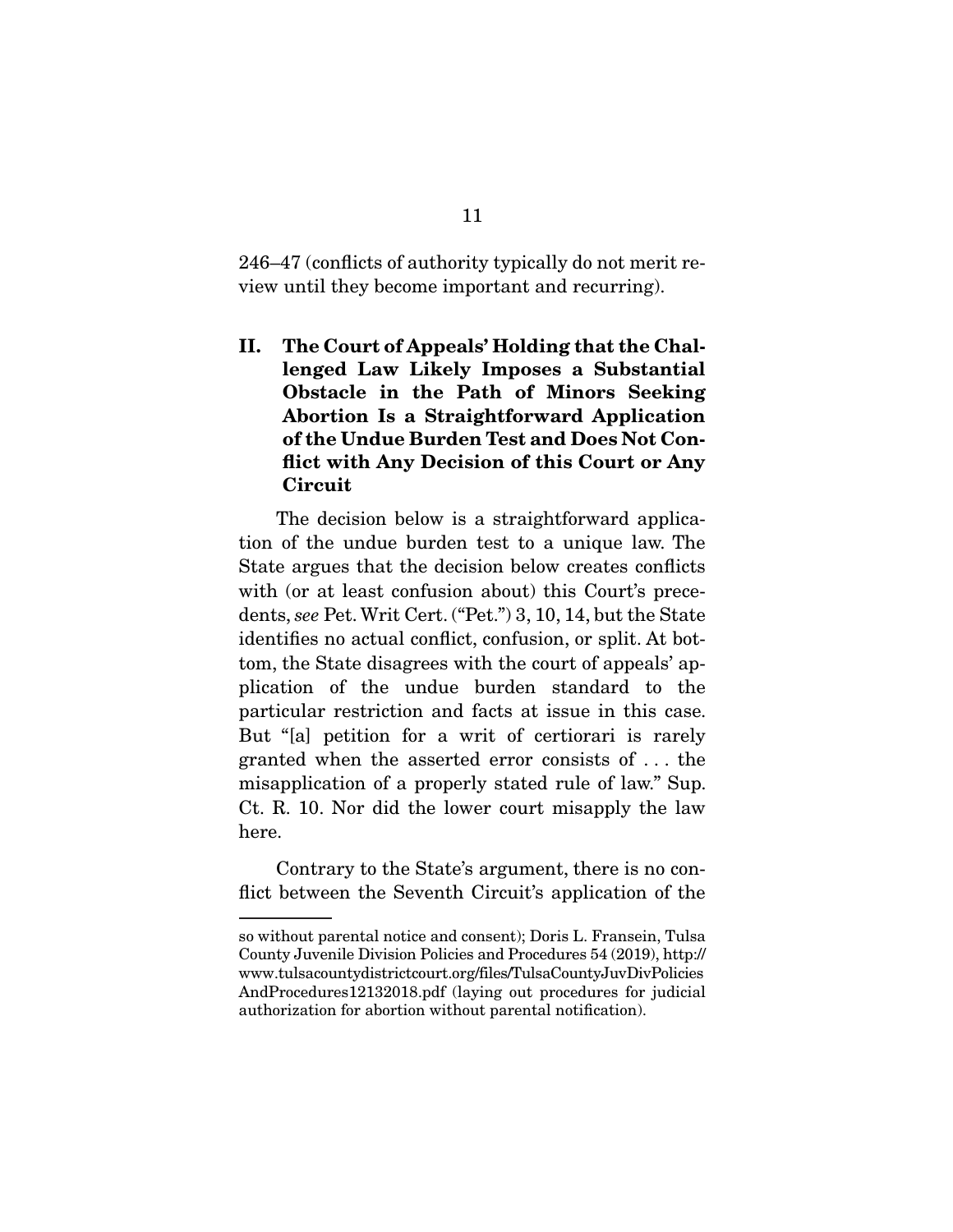246–47 (conflicts of authority typically do not merit review until they become important and recurring).

**II. The Court of Appeals' Holding that the Challenged Law Likely Imposes a Substantial Obstacle in the Path of Minors Seeking Abortion Is a Straightforward Application of the Undue Burden Test and Does Not Conflict with Any Decision of this Court or Any Circuit** 

 The decision below is a straightforward application of the undue burden test to a unique law. The State argues that the decision below creates conflicts with (or at least confusion about) this Court's precedents, see Pet. Writ Cert. ("Pet.") 3, 10, 14, but the State identifies no actual conflict, confusion, or split. At bottom, the State disagrees with the court of appeals' application of the undue burden standard to the particular restriction and facts at issue in this case. But "[a] petition for a writ of certiorari is rarely granted when the asserted error consists of . . . the misapplication of a properly stated rule of law." Sup. Ct. R. 10. Nor did the lower court misapply the law here.

 Contrary to the State's argument, there is no conflict between the Seventh Circuit's application of the

so without parental notice and consent); Doris L. Fransein, Tulsa County Juvenile Division Policies and Procedures 54 (2019), http:// www.tulsacountydistrictcourt.org/files/TulsaCountyJuvDivPolicies AndProcedures12132018.pdf (laying out procedures for judicial authorization for abortion without parental notification).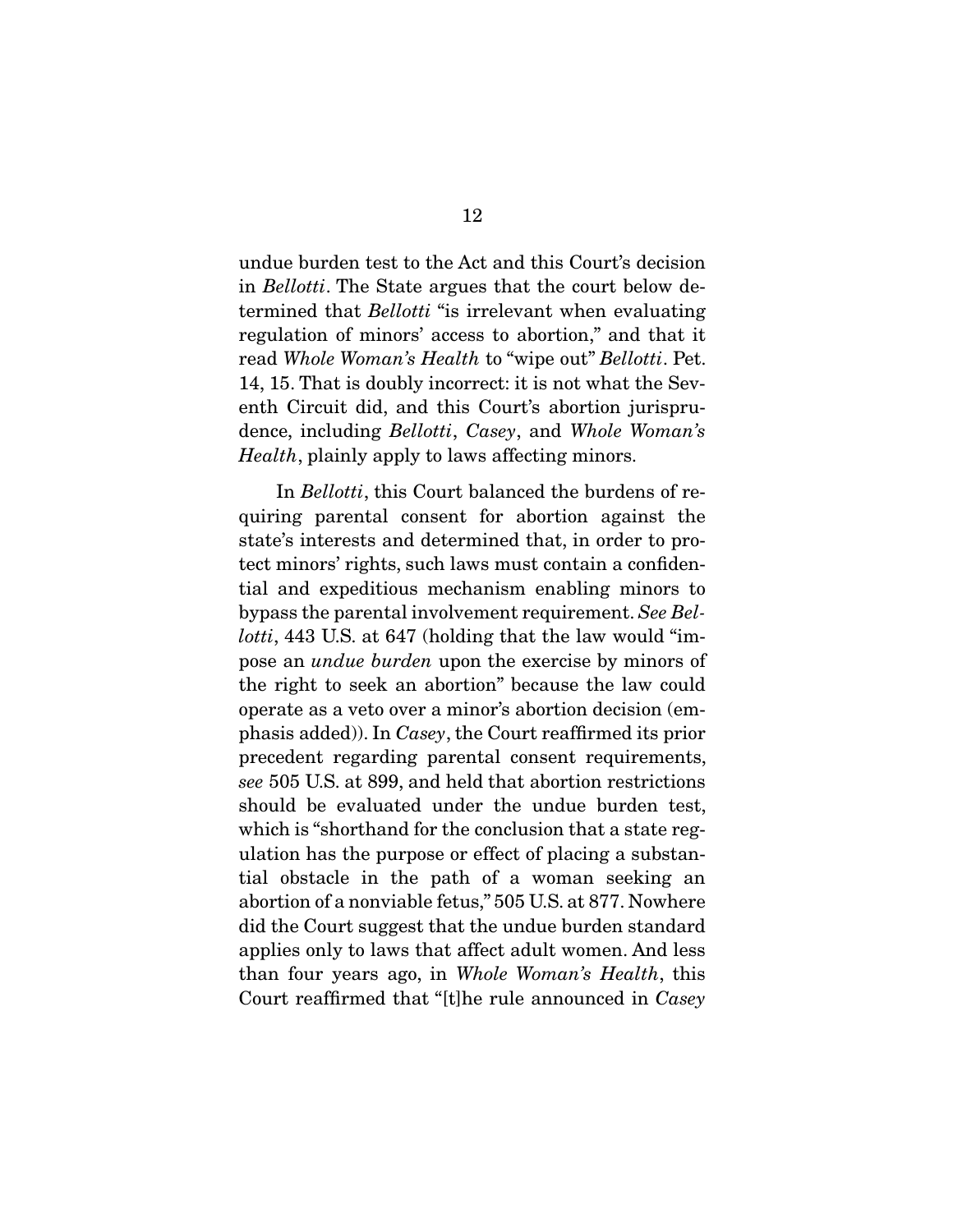undue burden test to the Act and this Court's decision in Bellotti. The State argues that the court below determined that *Bellotti* "is irrelevant when evaluating regulation of minors' access to abortion," and that it read Whole Woman's Health to "wipe out" Bellotti. Pet. 14, 15. That is doubly incorrect: it is not what the Seventh Circuit did, and this Court's abortion jurisprudence, including Bellotti, Casey, and Whole Woman's Health, plainly apply to laws affecting minors.

 In Bellotti, this Court balanced the burdens of requiring parental consent for abortion against the state's interests and determined that, in order to protect minors' rights, such laws must contain a confidential and expeditious mechanism enabling minors to bypass the parental involvement requirement. See Bellotti, 443 U.S. at 647 (holding that the law would "impose an undue burden upon the exercise by minors of the right to seek an abortion" because the law could operate as a veto over a minor's abortion decision (emphasis added)). In Casey, the Court reaffirmed its prior precedent regarding parental consent requirements, see 505 U.S. at 899, and held that abortion restrictions should be evaluated under the undue burden test, which is "shorthand for the conclusion that a state regulation has the purpose or effect of placing a substantial obstacle in the path of a woman seeking an abortion of a nonviable fetus," 505 U.S. at 877. Nowhere did the Court suggest that the undue burden standard applies only to laws that affect adult women. And less than four years ago, in Whole Woman's Health, this Court reaffirmed that "[t]he rule announced in Casey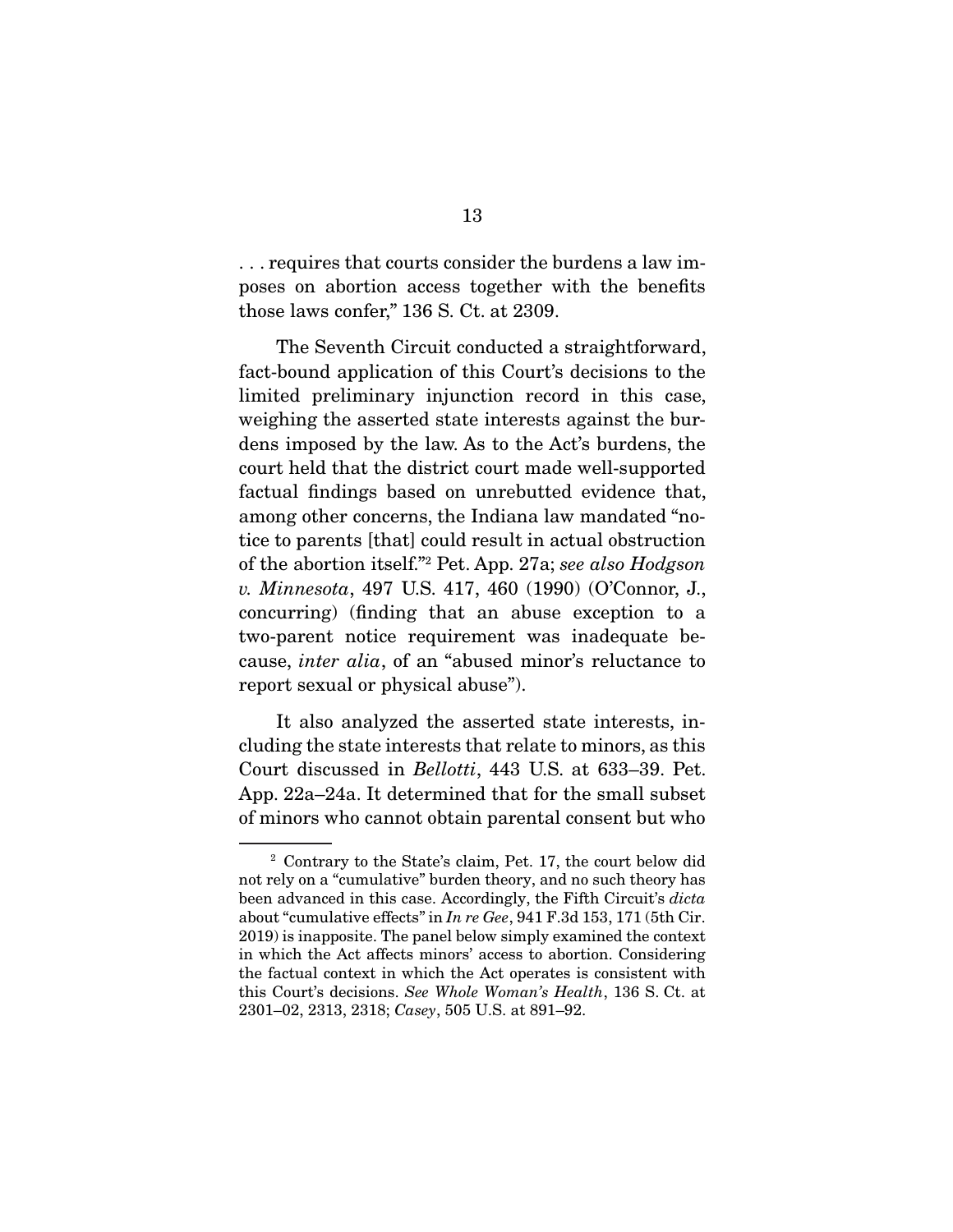. . . requires that courts consider the burdens a law imposes on abortion access together with the benefits those laws confer," 136 S. Ct. at 2309.

 The Seventh Circuit conducted a straightforward, fact-bound application of this Court's decisions to the limited preliminary injunction record in this case, weighing the asserted state interests against the burdens imposed by the law. As to the Act's burdens, the court held that the district court made well-supported factual findings based on unrebutted evidence that, among other concerns, the Indiana law mandated "notice to parents [that] could result in actual obstruction of the abortion itself."2 Pet. App. 27a; see also Hodgson v. Minnesota, 497 U.S. 417, 460 (1990) (O'Connor, J., concurring) (finding that an abuse exception to a two-parent notice requirement was inadequate because, inter alia, of an "abused minor's reluctance to report sexual or physical abuse").

 It also analyzed the asserted state interests, including the state interests that relate to minors, as this Court discussed in Bellotti, 443 U.S. at 633–39. Pet. App. 22a–24a. It determined that for the small subset of minors who cannot obtain parental consent but who

<sup>2</sup> Contrary to the State's claim, Pet. 17, the court below did not rely on a "cumulative" burden theory, and no such theory has been advanced in this case. Accordingly, the Fifth Circuit's dicta about "cumulative effects" in In re Gee, 941 F.3d 153, 171 (5th Cir. 2019) is inapposite. The panel below simply examined the context in which the Act affects minors' access to abortion. Considering the factual context in which the Act operates is consistent with this Court's decisions. See Whole Woman's Health, 136 S. Ct. at 2301–02, 2313, 2318; Casey, 505 U.S. at 891–92.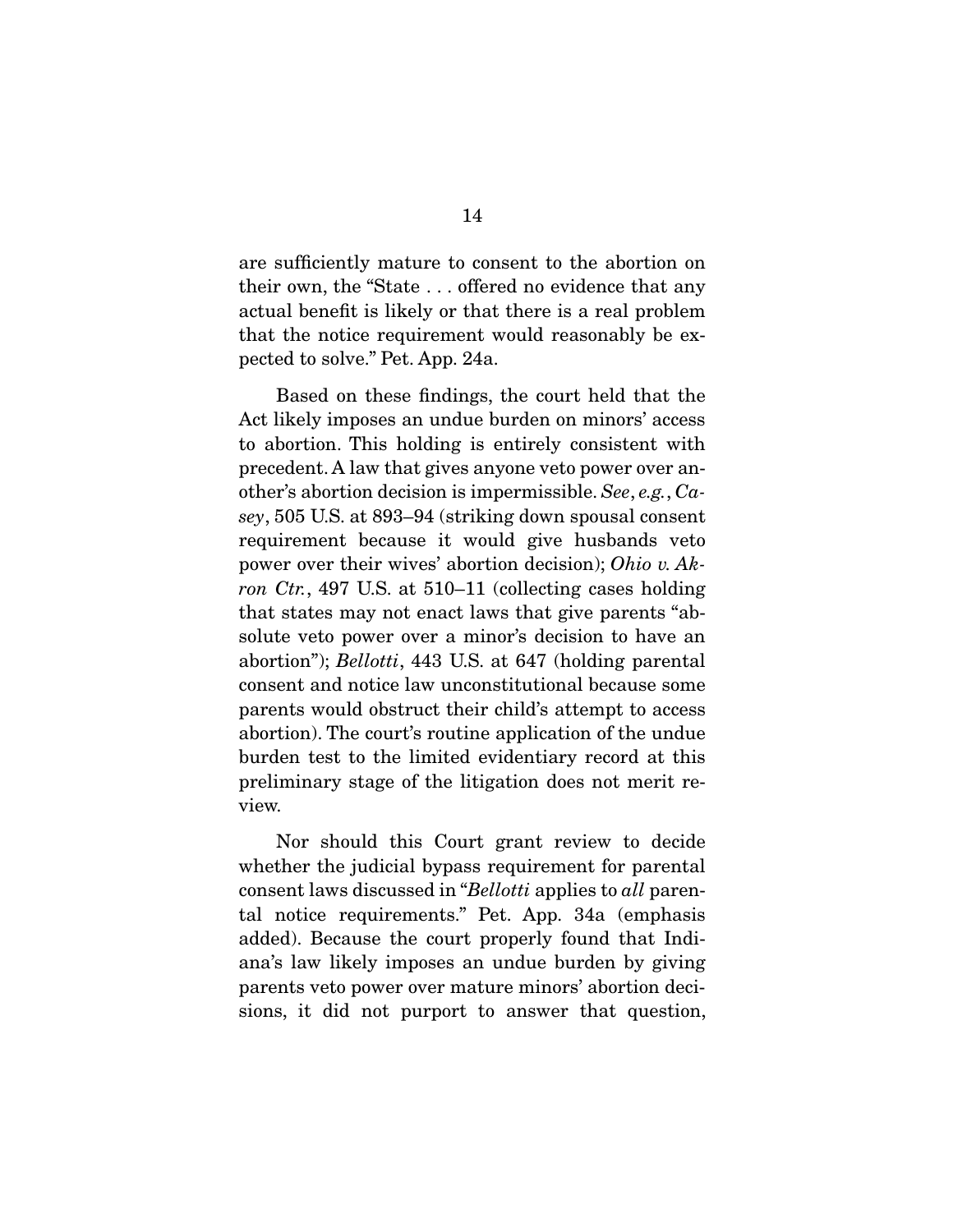are sufficiently mature to consent to the abortion on their own, the "State . . . offered no evidence that any actual benefit is likely or that there is a real problem that the notice requirement would reasonably be expected to solve." Pet. App. 24a.

 Based on these findings, the court held that the Act likely imposes an undue burden on minors' access to abortion. This holding is entirely consistent with precedent. A law that gives anyone veto power over another's abortion decision is impermissible. See, e.g., Casey, 505 U.S. at 893–94 (striking down spousal consent requirement because it would give husbands veto power over their wives' abortion decision); Ohio v. Akron Ctr., 497 U.S. at 510–11 (collecting cases holding that states may not enact laws that give parents "absolute veto power over a minor's decision to have an abortion"); Bellotti, 443 U.S. at 647 (holding parental consent and notice law unconstitutional because some parents would obstruct their child's attempt to access abortion). The court's routine application of the undue burden test to the limited evidentiary record at this preliminary stage of the litigation does not merit review.

 Nor should this Court grant review to decide whether the judicial bypass requirement for parental consent laws discussed in "Bellotti applies to all parental notice requirements." Pet. App. 34a (emphasis added). Because the court properly found that Indiana's law likely imposes an undue burden by giving parents veto power over mature minors' abortion decisions, it did not purport to answer that question,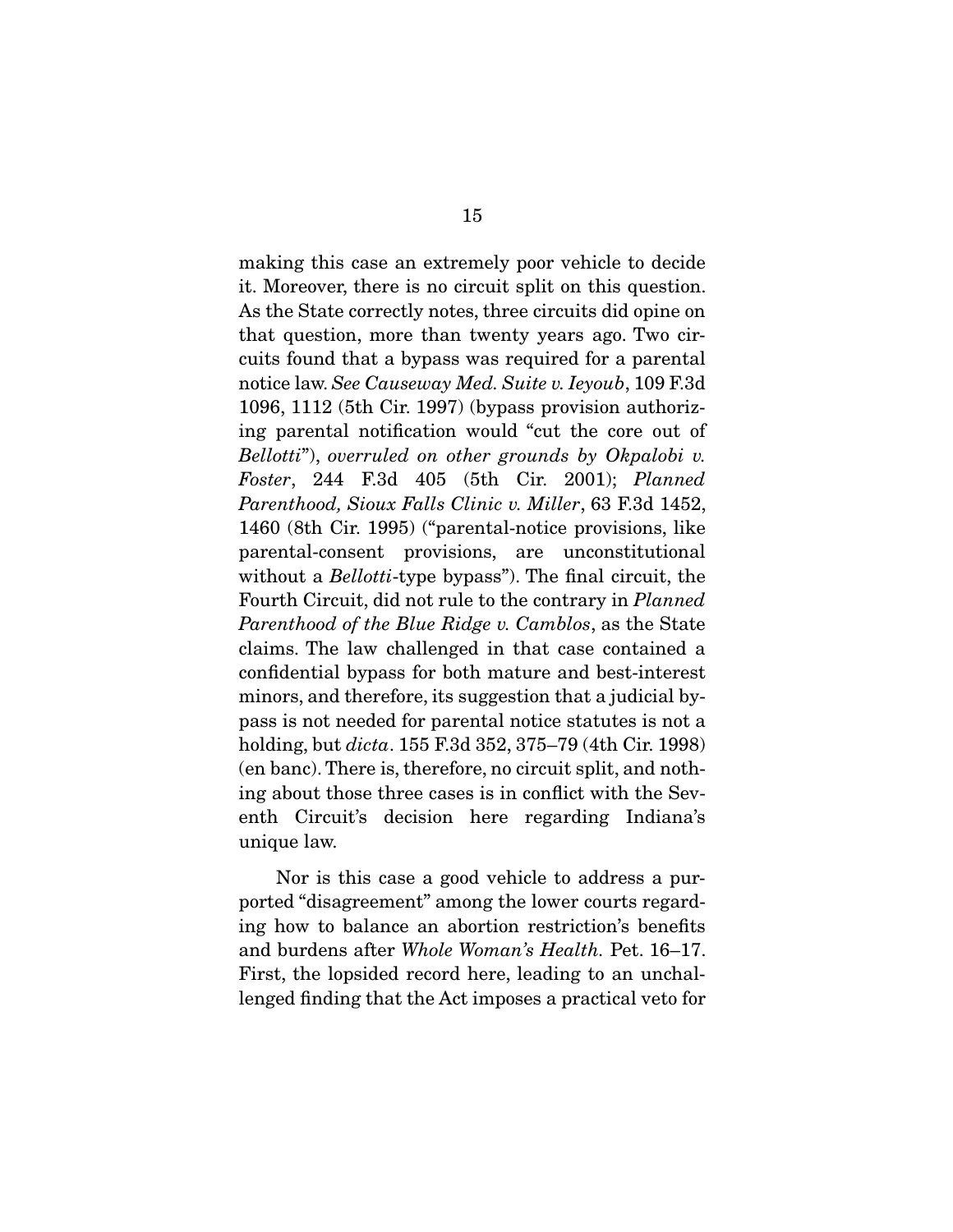making this case an extremely poor vehicle to decide it. Moreover, there is no circuit split on this question. As the State correctly notes, three circuits did opine on that question, more than twenty years ago. Two circuits found that a bypass was required for a parental notice law. See Causeway Med. Suite v. Ieyoub, 109 F.3d 1096, 1112 (5th Cir. 1997) (bypass provision authorizing parental notification would "cut the core out of Bellotti"), overruled on other grounds by Okpalobi v. Foster, 244 F.3d 405 (5th Cir. 2001); Planned Parenthood, Sioux Falls Clinic v. Miller, 63 F.3d 1452, 1460 (8th Cir. 1995) ("parental-notice provisions, like parental-consent provisions, are unconstitutional without a *Bellotti*-type bypass"). The final circuit, the Fourth Circuit, did not rule to the contrary in Planned Parenthood of the Blue Ridge v. Camblos, as the State claims. The law challenged in that case contained a confidential bypass for both mature and best-interest minors, and therefore, its suggestion that a judicial bypass is not needed for parental notice statutes is not a holding, but *dicta*. 155 F.3d 352, 375–79 (4th Cir. 1998) (en banc). There is, therefore, no circuit split, and nothing about those three cases is in conflict with the Seventh Circuit's decision here regarding Indiana's unique law.

 Nor is this case a good vehicle to address a purported "disagreement" among the lower courts regarding how to balance an abortion restriction's benefits and burdens after Whole Woman's Health. Pet. 16–17. First, the lopsided record here, leading to an unchallenged finding that the Act imposes a practical veto for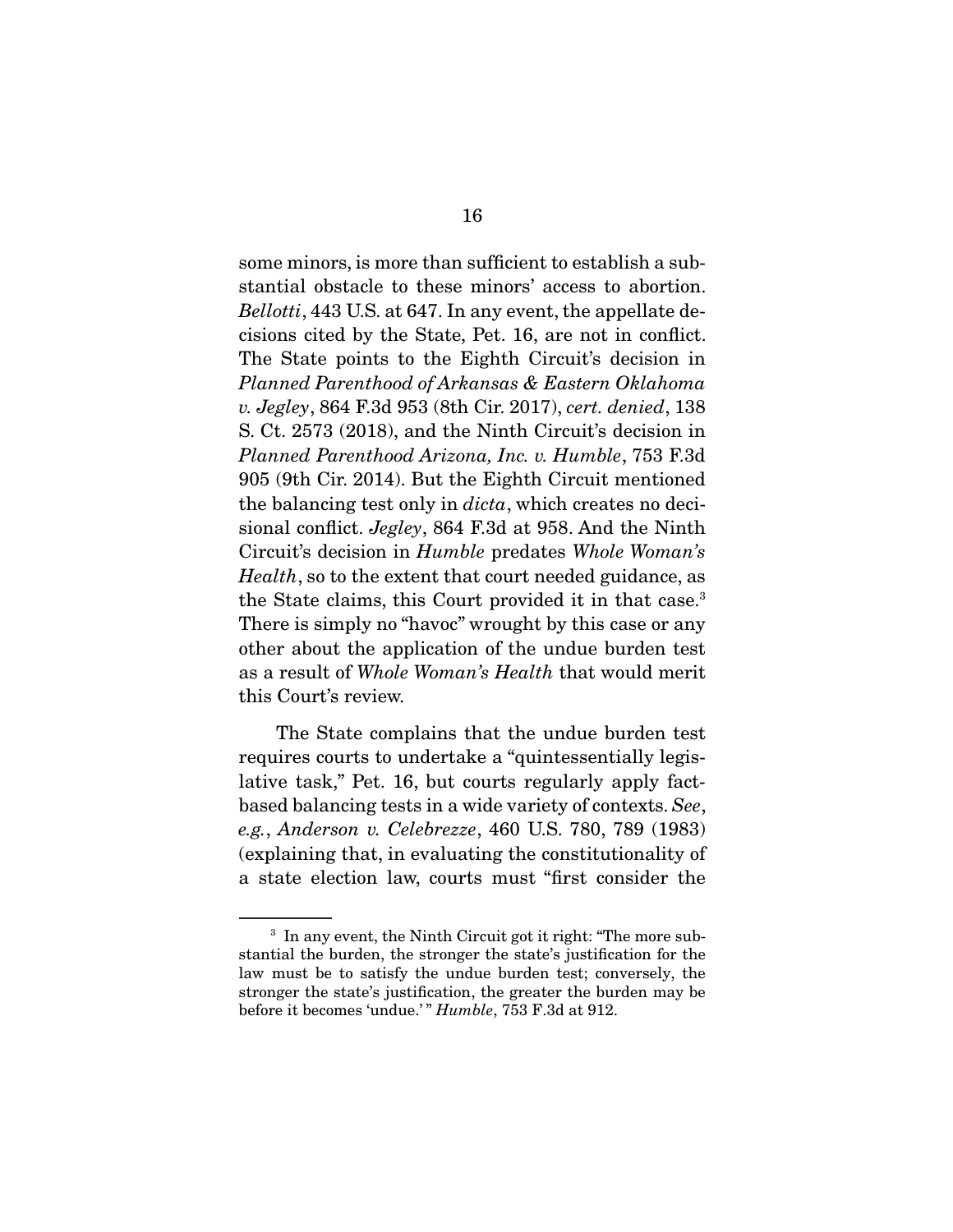some minors, is more than sufficient to establish a substantial obstacle to these minors' access to abortion. Bellotti, 443 U.S. at 647. In any event, the appellate decisions cited by the State, Pet. 16, are not in conflict. The State points to the Eighth Circuit's decision in Planned Parenthood of Arkansas & Eastern Oklahoma v. Jegley, 864 F.3d 953 (8th Cir. 2017), cert. denied, 138 S. Ct. 2573 (2018), and the Ninth Circuit's decision in Planned Parenthood Arizona, Inc. v. Humble, 753 F.3d 905 (9th Cir. 2014). But the Eighth Circuit mentioned the balancing test only in *dicta*, which creates no decisional conflict. Jegley, 864 F.3d at 958. And the Ninth Circuit's decision in Humble predates Whole Woman's Health, so to the extent that court needed guidance, as the State claims, this Court provided it in that case.<sup>3</sup> There is simply no "havoc" wrought by this case or any other about the application of the undue burden test as a result of Whole Woman's Health that would merit this Court's review.

 The State complains that the undue burden test requires courts to undertake a "quintessentially legislative task," Pet. 16, but courts regularly apply factbased balancing tests in a wide variety of contexts. See, e.g., Anderson v. Celebrezze, 460 U.S. 780, 789 (1983) (explaining that, in evaluating the constitutionality of a state election law, courts must "first consider the

<sup>&</sup>lt;sup>3</sup> In any event, the Ninth Circuit got it right: "The more substantial the burden, the stronger the state's justification for the law must be to satisfy the undue burden test; conversely, the stronger the state's justification, the greater the burden may be before it becomes 'undue.'" Humble, 753 F.3d at 912.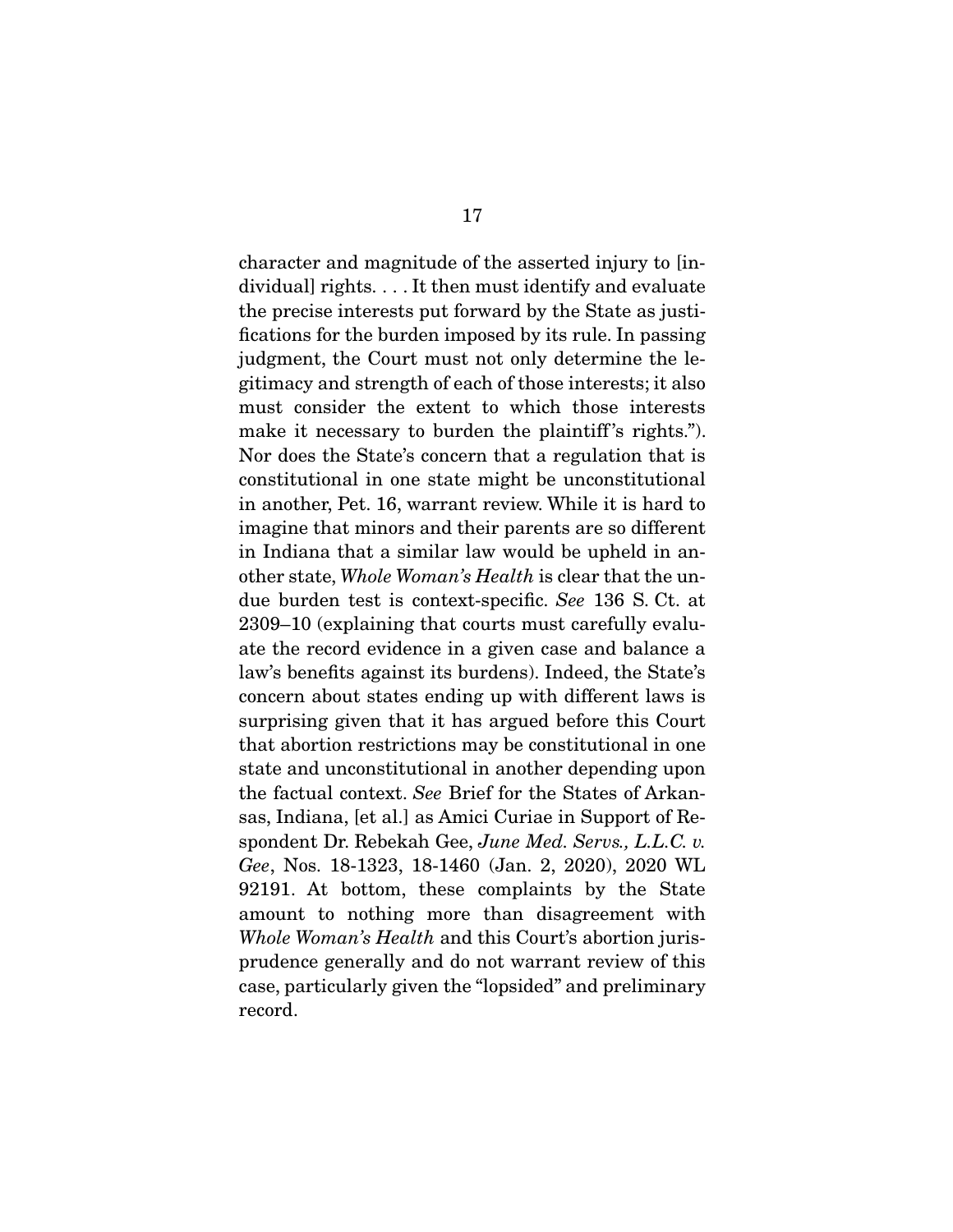character and magnitude of the asserted injury to [individual] rights. . . . It then must identify and evaluate the precise interests put forward by the State as justifications for the burden imposed by its rule. In passing judgment, the Court must not only determine the legitimacy and strength of each of those interests; it also must consider the extent to which those interests make it necessary to burden the plaintiff's rights."). Nor does the State's concern that a regulation that is constitutional in one state might be unconstitutional in another, Pet. 16, warrant review. While it is hard to imagine that minors and their parents are so different in Indiana that a similar law would be upheld in another state, Whole Woman's Health is clear that the undue burden test is context-specific. See 136 S. Ct. at 2309–10 (explaining that courts must carefully evaluate the record evidence in a given case and balance a law's benefits against its burdens). Indeed, the State's concern about states ending up with different laws is surprising given that it has argued before this Court that abortion restrictions may be constitutional in one state and unconstitutional in another depending upon the factual context. See Brief for the States of Arkansas, Indiana, [et al.] as Amici Curiae in Support of Respondent Dr. Rebekah Gee, June Med. Servs., L.L.C. v. Gee, Nos. 18-1323, 18-1460 (Jan. 2, 2020), 2020 WL 92191. At bottom, these complaints by the State amount to nothing more than disagreement with Whole Woman's Health and this Court's abortion jurisprudence generally and do not warrant review of this case, particularly given the "lopsided" and preliminary record.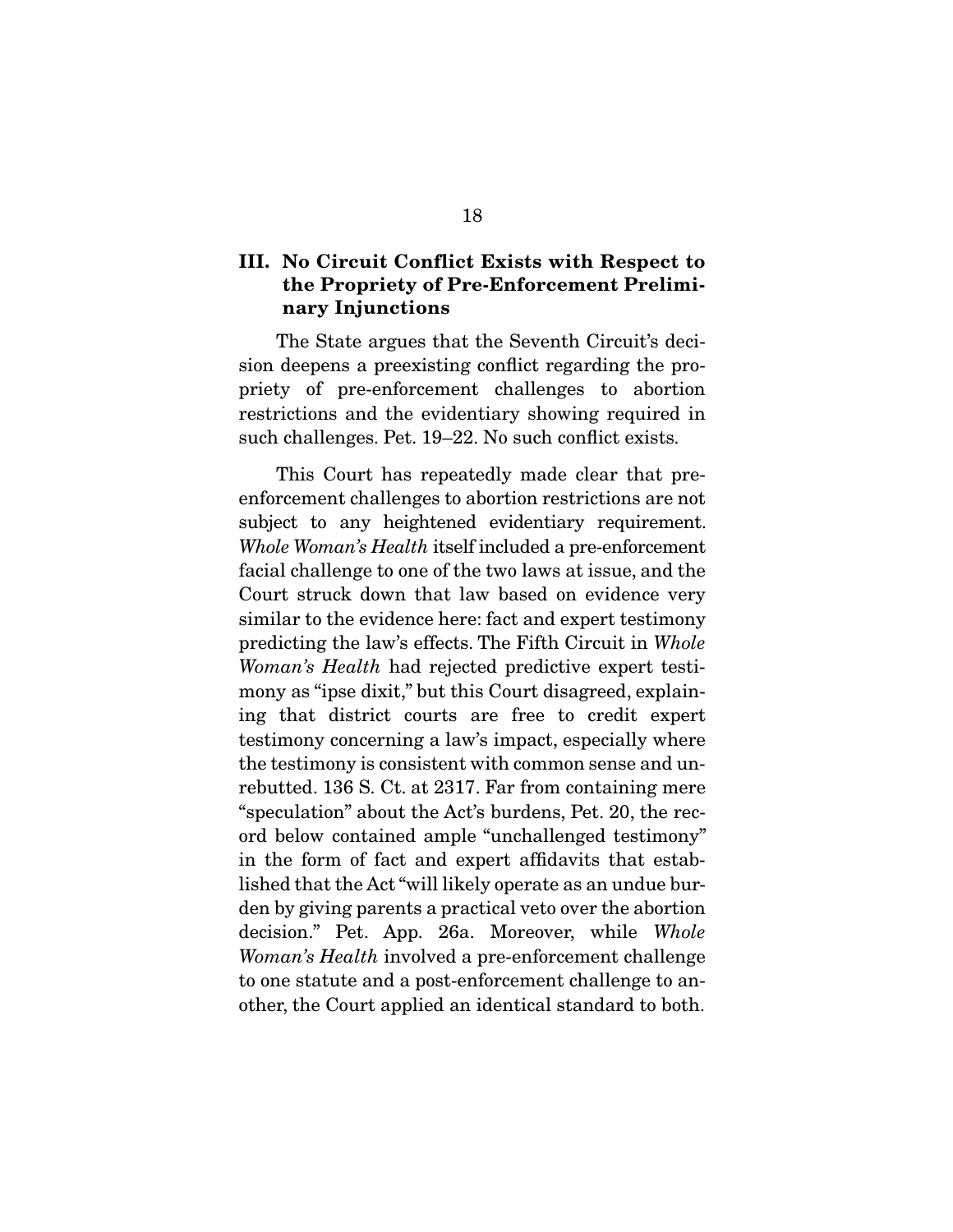### **III. No Circuit Conflict Exists with Respect to the Propriety of Pre-Enforcement Preliminary Injunctions**

 The State argues that the Seventh Circuit's decision deepens a preexisting conflict regarding the propriety of pre-enforcement challenges to abortion restrictions and the evidentiary showing required in such challenges. Pet. 19–22. No such conflict exists.

 This Court has repeatedly made clear that preenforcement challenges to abortion restrictions are not subject to any heightened evidentiary requirement. Whole Woman's Health itself included a pre-enforcement facial challenge to one of the two laws at issue, and the Court struck down that law based on evidence very similar to the evidence here: fact and expert testimony predicting the law's effects. The Fifth Circuit in Whole Woman's Health had rejected predictive expert testimony as "ipse dixit," but this Court disagreed, explaining that district courts are free to credit expert testimony concerning a law's impact, especially where the testimony is consistent with common sense and unrebutted. 136 S. Ct. at 2317. Far from containing mere "speculation" about the Act's burdens, Pet. 20, the record below contained ample "unchallenged testimony" in the form of fact and expert affidavits that established that the Act "will likely operate as an undue burden by giving parents a practical veto over the abortion decision." Pet. App. 26a. Moreover, while Whole Woman's Health involved a pre-enforcement challenge to one statute and a post-enforcement challenge to another, the Court applied an identical standard to both.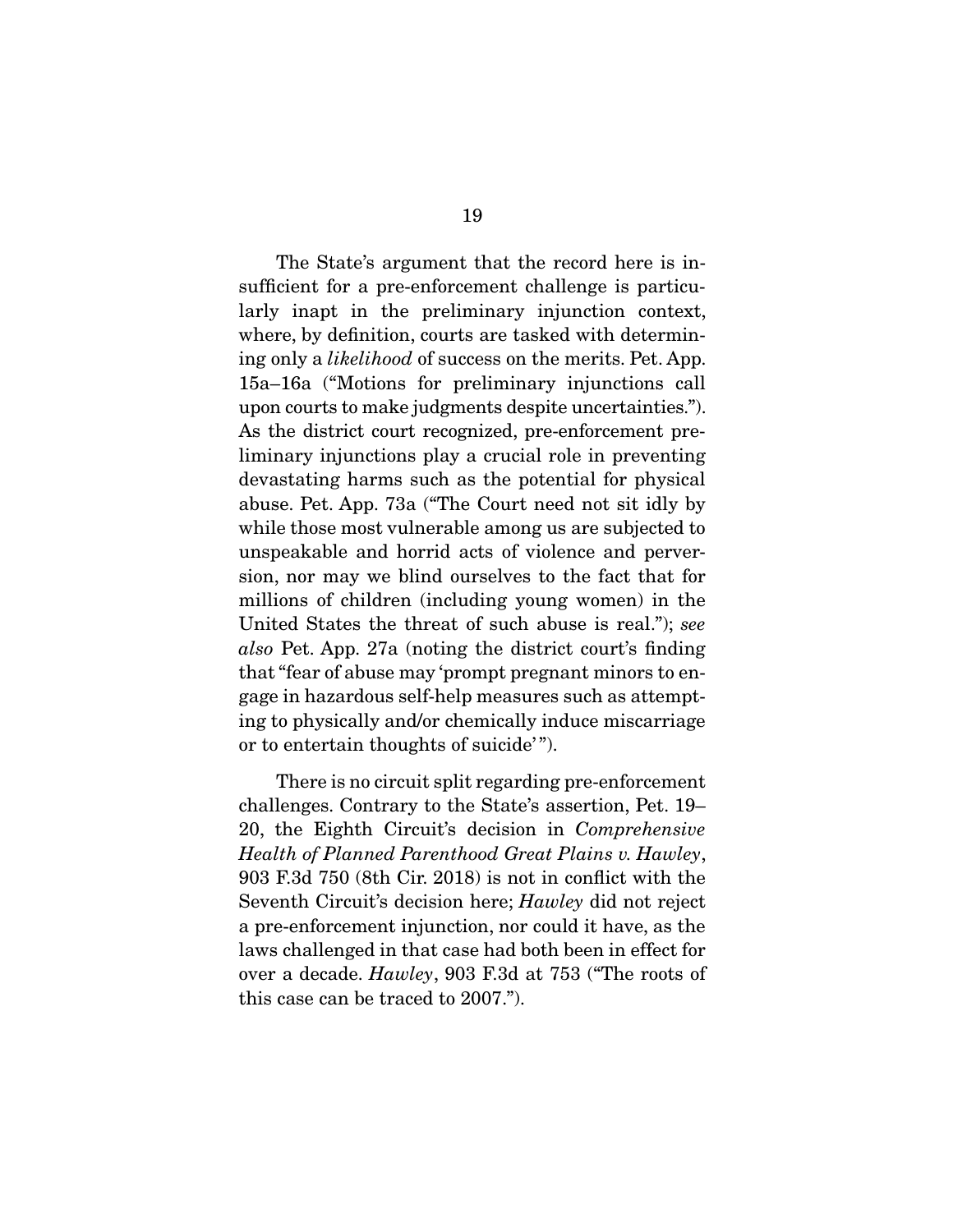The State's argument that the record here is insufficient for a pre-enforcement challenge is particularly inapt in the preliminary injunction context, where, by definition, courts are tasked with determining only a likelihood of success on the merits. Pet. App. 15a–16a ("Motions for preliminary injunctions call upon courts to make judgments despite uncertainties."). As the district court recognized, pre-enforcement preliminary injunctions play a crucial role in preventing devastating harms such as the potential for physical abuse. Pet. App. 73a ("The Court need not sit idly by while those most vulnerable among us are subjected to unspeakable and horrid acts of violence and perversion, nor may we blind ourselves to the fact that for millions of children (including young women) in the United States the threat of such abuse is real."); see also Pet. App. 27a (noting the district court's finding that "fear of abuse may 'prompt pregnant minors to engage in hazardous self-help measures such as attempting to physically and/or chemically induce miscarriage or to entertain thoughts of suicide'".

 There is no circuit split regarding pre-enforcement challenges. Contrary to the State's assertion, Pet. 19– 20, the Eighth Circuit's decision in Comprehensive Health of Planned Parenthood Great Plains v. Hawley, 903 F.3d 750 (8th Cir. 2018) is not in conflict with the Seventh Circuit's decision here; Hawley did not reject a pre-enforcement injunction, nor could it have, as the laws challenged in that case had both been in effect for over a decade. Hawley, 903 F.3d at 753 ("The roots of this case can be traced to 2007.").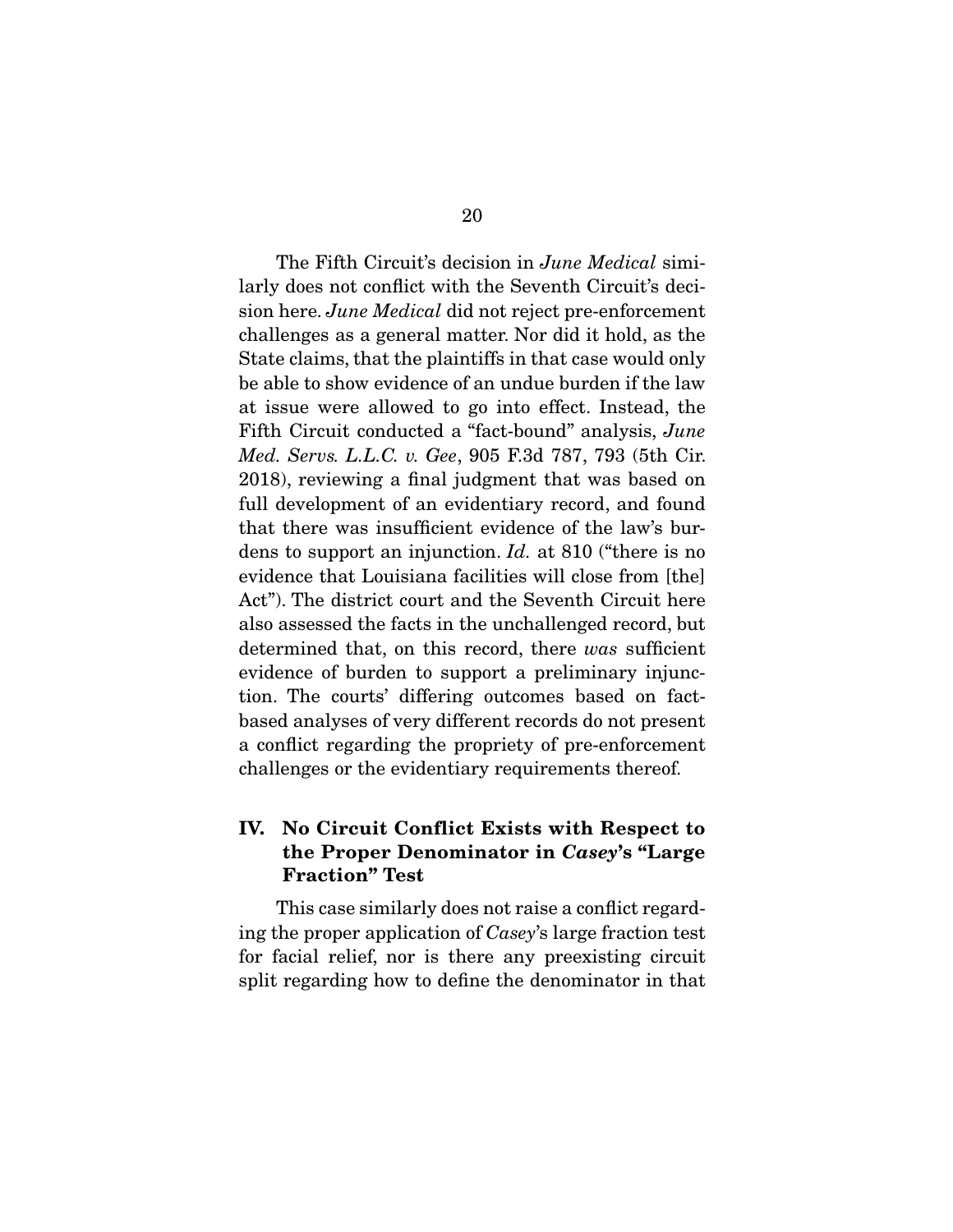The Fifth Circuit's decision in *June Medical* similarly does not conflict with the Seventh Circuit's decision here. June Medical did not reject pre-enforcement challenges as a general matter. Nor did it hold, as the State claims, that the plaintiffs in that case would only be able to show evidence of an undue burden if the law at issue were allowed to go into effect. Instead, the Fifth Circuit conducted a "fact-bound" analysis, June Med. Servs. L.L.C. v. Gee, 905 F.3d 787, 793 (5th Cir. 2018), reviewing a final judgment that was based on full development of an evidentiary record, and found that there was insufficient evidence of the law's burdens to support an injunction. Id. at 810 ("there is no evidence that Louisiana facilities will close from [the] Act"). The district court and the Seventh Circuit here also assessed the facts in the unchallenged record, but determined that, on this record, there was sufficient evidence of burden to support a preliminary injunction. The courts' differing outcomes based on factbased analyses of very different records do not present a conflict regarding the propriety of pre-enforcement challenges or the evidentiary requirements thereof.

## **IV. No Circuit Conflict Exists with Respect to the Proper Denominator in** *Casey***'s "Large Fraction" Test**

 This case similarly does not raise a conflict regarding the proper application of Casey's large fraction test for facial relief, nor is there any preexisting circuit split regarding how to define the denominator in that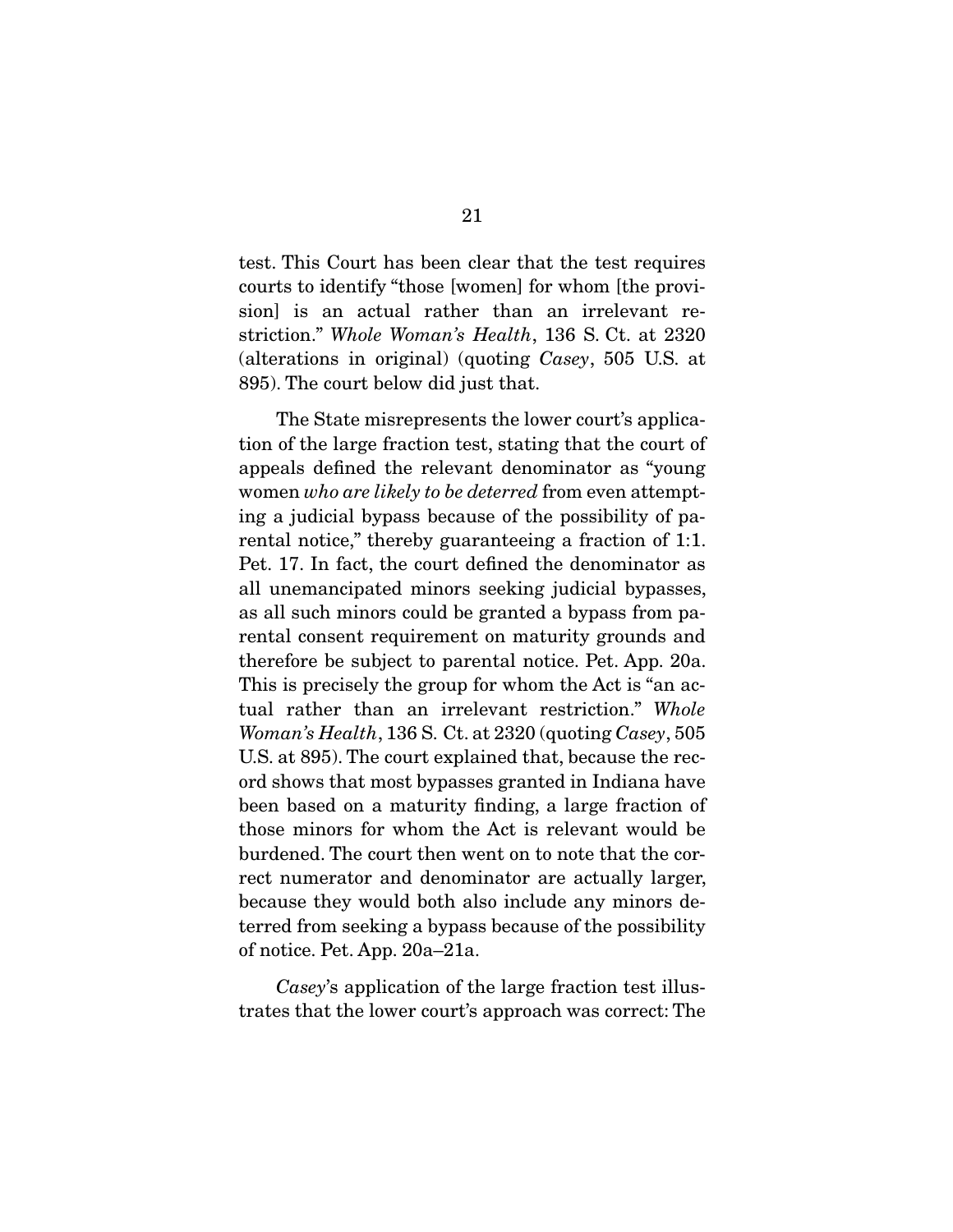test. This Court has been clear that the test requires courts to identify "those [women] for whom [the provision] is an actual rather than an irrelevant restriction." Whole Woman's Health, 136 S. Ct. at 2320 (alterations in original) (quoting Casey, 505 U.S. at 895). The court below did just that.

 The State misrepresents the lower court's application of the large fraction test, stating that the court of appeals defined the relevant denominator as "young women who are likely to be deterred from even attempting a judicial bypass because of the possibility of parental notice," thereby guaranteeing a fraction of 1:1. Pet. 17. In fact, the court defined the denominator as all unemancipated minors seeking judicial bypasses, as all such minors could be granted a bypass from parental consent requirement on maturity grounds and therefore be subject to parental notice. Pet. App. 20a. This is precisely the group for whom the Act is "an actual rather than an irrelevant restriction." Whole Woman's Health, 136 S. Ct. at 2320 (quoting Casey, 505 U.S. at 895). The court explained that, because the record shows that most bypasses granted in Indiana have been based on a maturity finding, a large fraction of those minors for whom the Act is relevant would be burdened. The court then went on to note that the correct numerator and denominator are actually larger, because they would both also include any minors deterred from seeking a bypass because of the possibility of notice. Pet. App. 20a–21a.

Casey's application of the large fraction test illustrates that the lower court's approach was correct: The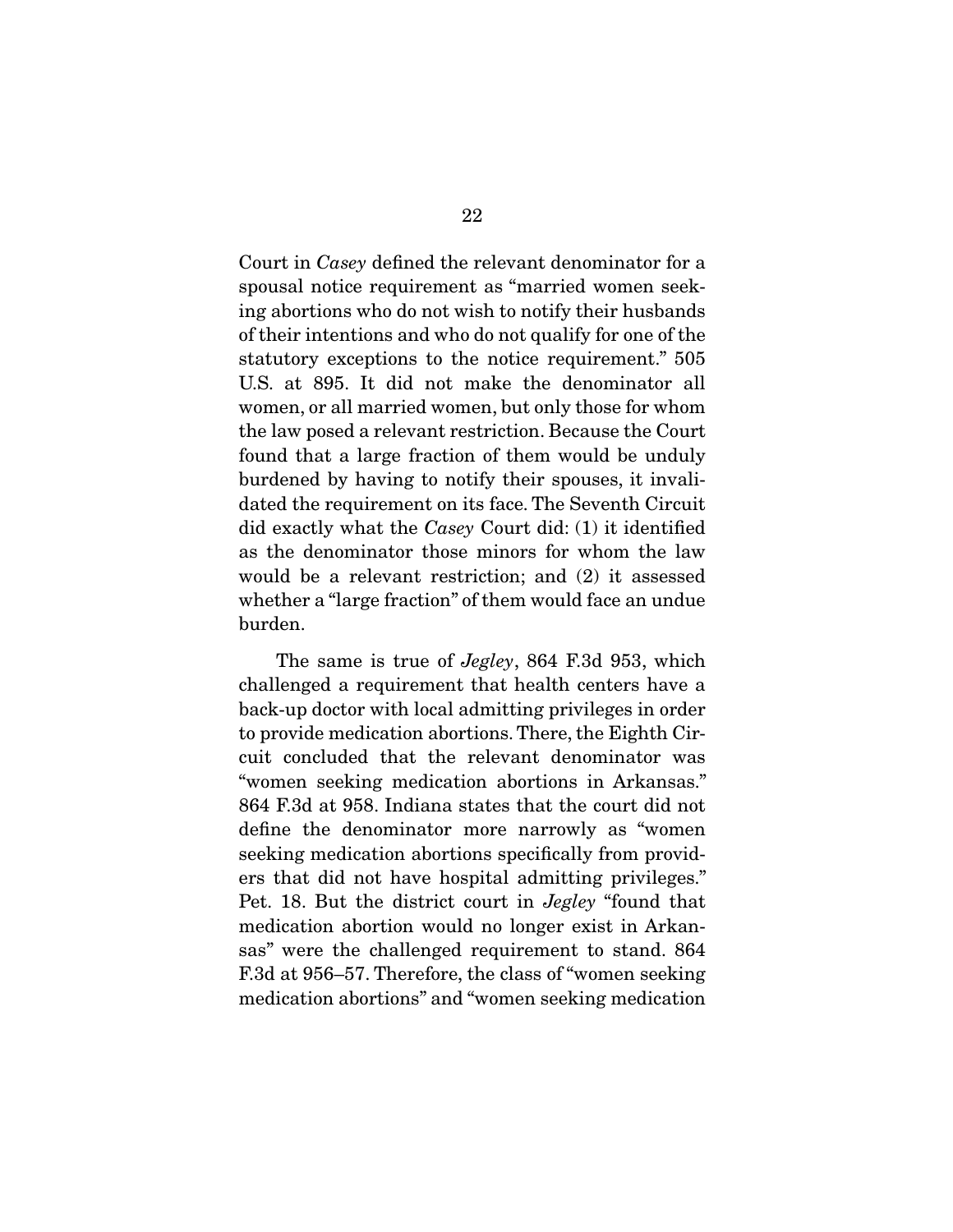Court in Casey defined the relevant denominator for a spousal notice requirement as "married women seeking abortions who do not wish to notify their husbands of their intentions and who do not qualify for one of the statutory exceptions to the notice requirement." 505 U.S. at 895. It did not make the denominator all women, or all married women, but only those for whom the law posed a relevant restriction. Because the Court found that a large fraction of them would be unduly burdened by having to notify their spouses, it invalidated the requirement on its face. The Seventh Circuit did exactly what the Casey Court did: (1) it identified as the denominator those minors for whom the law would be a relevant restriction; and (2) it assessed whether a "large fraction" of them would face an undue burden.

The same is true of *Jegley*, 864 F.3d 953, which challenged a requirement that health centers have a back-up doctor with local admitting privileges in order to provide medication abortions. There, the Eighth Circuit concluded that the relevant denominator was "women seeking medication abortions in Arkansas." 864 F.3d at 958. Indiana states that the court did not define the denominator more narrowly as "women seeking medication abortions specifically from providers that did not have hospital admitting privileges." Pet. 18. But the district court in Jegley "found that medication abortion would no longer exist in Arkansas" were the challenged requirement to stand. 864 F.3d at 956–57. Therefore, the class of "women seeking medication abortions" and "women seeking medication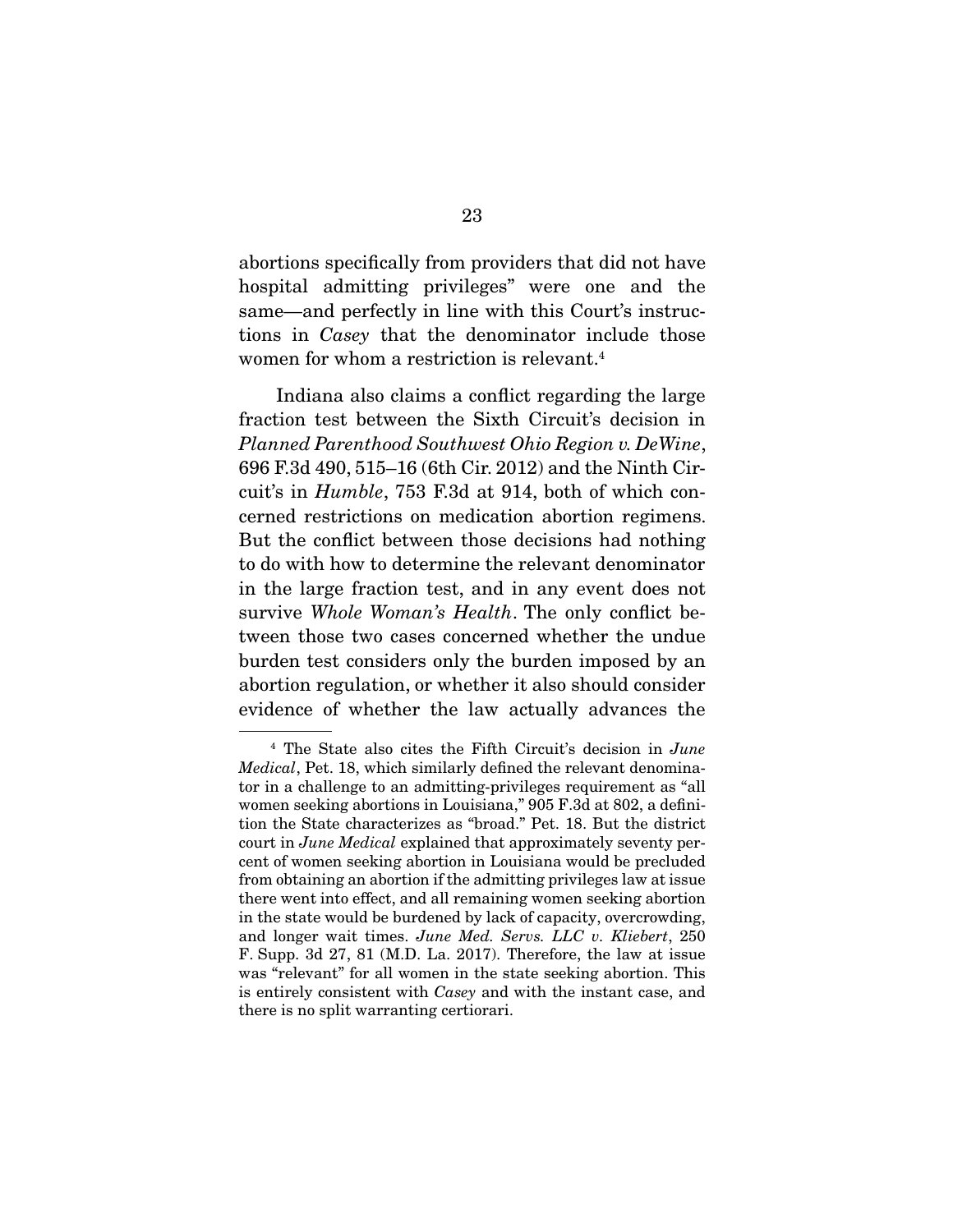abortions specifically from providers that did not have hospital admitting privileges" were one and the same—and perfectly in line with this Court's instructions in Casey that the denominator include those women for whom a restriction is relevant.<sup>4</sup>

 Indiana also claims a conflict regarding the large fraction test between the Sixth Circuit's decision in Planned Parenthood Southwest Ohio Region v. DeWine, 696 F.3d 490, 515–16 (6th Cir. 2012) and the Ninth Circuit's in Humble, 753 F.3d at 914, both of which concerned restrictions on medication abortion regimens. But the conflict between those decisions had nothing to do with how to determine the relevant denominator in the large fraction test, and in any event does not survive Whole Woman's Health. The only conflict between those two cases concerned whether the undue burden test considers only the burden imposed by an abortion regulation, or whether it also should consider evidence of whether the law actually advances the

<sup>4</sup> The State also cites the Fifth Circuit's decision in June Medical, Pet. 18, which similarly defined the relevant denominator in a challenge to an admitting-privileges requirement as "all women seeking abortions in Louisiana," 905 F.3d at 802, a definition the State characterizes as "broad." Pet. 18. But the district court in June Medical explained that approximately seventy percent of women seeking abortion in Louisiana would be precluded from obtaining an abortion if the admitting privileges law at issue there went into effect, and all remaining women seeking abortion in the state would be burdened by lack of capacity, overcrowding, and longer wait times. June Med. Servs. LLC v. Kliebert, 250 F. Supp. 3d 27, 81 (M.D. La. 2017). Therefore, the law at issue was "relevant" for all women in the state seeking abortion. This is entirely consistent with Casey and with the instant case, and there is no split warranting certiorari.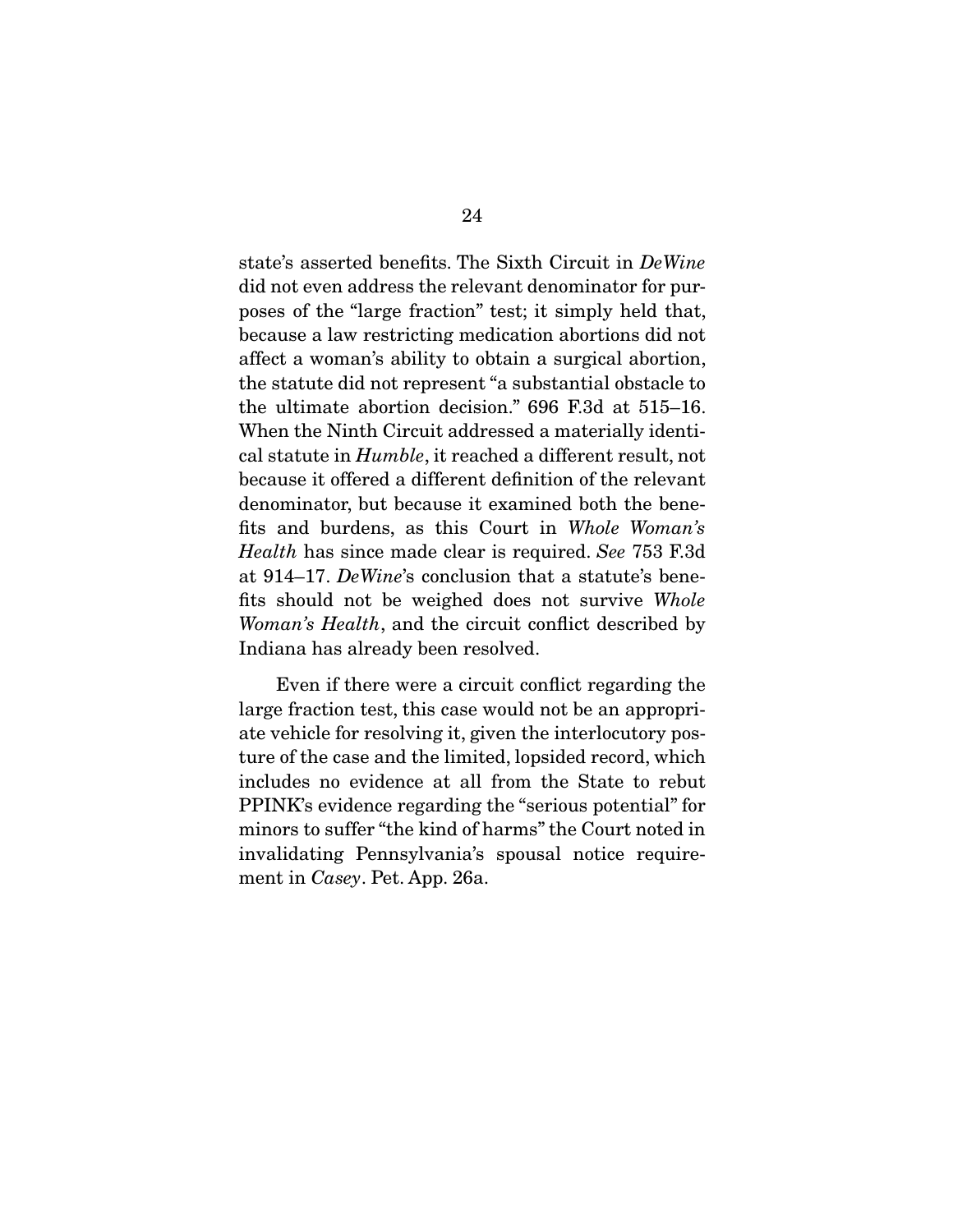state's asserted benefits. The Sixth Circuit in DeWine did not even address the relevant denominator for purposes of the "large fraction" test; it simply held that, because a law restricting medication abortions did not affect a woman's ability to obtain a surgical abortion, the statute did not represent "a substantial obstacle to the ultimate abortion decision." 696 F.3d at 515–16. When the Ninth Circuit addressed a materially identical statute in Humble, it reached a different result, not because it offered a different definition of the relevant denominator, but because it examined both the benefits and burdens, as this Court in Whole Woman's Health has since made clear is required. See 753 F.3d at 914–17. DeWine's conclusion that a statute's benefits should not be weighed does not survive Whole Woman's Health, and the circuit conflict described by Indiana has already been resolved.

 Even if there were a circuit conflict regarding the large fraction test, this case would not be an appropriate vehicle for resolving it, given the interlocutory posture of the case and the limited, lopsided record, which includes no evidence at all from the State to rebut PPINK's evidence regarding the "serious potential" for minors to suffer "the kind of harms" the Court noted in invalidating Pennsylvania's spousal notice requirement in Casey. Pet. App. 26a.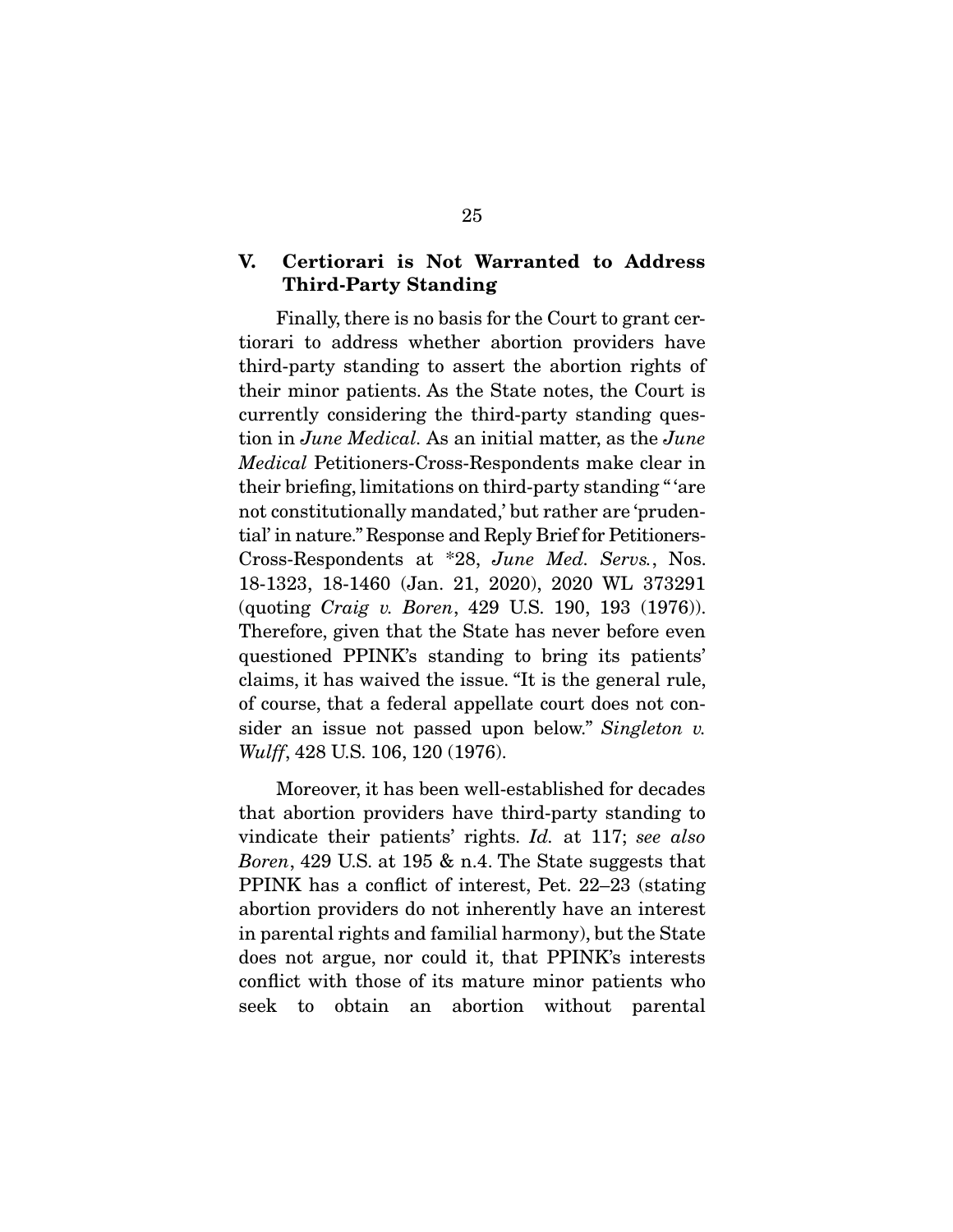## **V. Certiorari is Not Warranted to Address Third-Party Standing**

 Finally, there is no basis for the Court to grant certiorari to address whether abortion providers have third-party standing to assert the abortion rights of their minor patients. As the State notes, the Court is currently considering the third-party standing question in June Medical. As an initial matter, as the June Medical Petitioners-Cross-Respondents make clear in their briefing, limitations on third-party standing " 'are not constitutionally mandated,' but rather are 'prudential' in nature." Response and Reply Brief for Petitioners-Cross-Respondents at \*28, June Med. Servs., Nos. 18-1323, 18-1460 (Jan. 21, 2020), 2020 WL 373291 (quoting Craig v. Boren, 429 U.S. 190, 193 (1976)). Therefore, given that the State has never before even questioned PPINK's standing to bring its patients' claims, it has waived the issue. "It is the general rule, of course, that a federal appellate court does not consider an issue not passed upon below." Singleton v. Wulff, 428 U.S. 106, 120 (1976).

 Moreover, it has been well-established for decades that abortion providers have third-party standing to vindicate their patients' rights. Id. at 117; see also Boren, 429 U.S. at 195 & n.4. The State suggests that PPINK has a conflict of interest, Pet. 22–23 (stating abortion providers do not inherently have an interest in parental rights and familial harmony), but the State does not argue, nor could it, that PPINK's interests conflict with those of its mature minor patients who seek to obtain an abortion without parental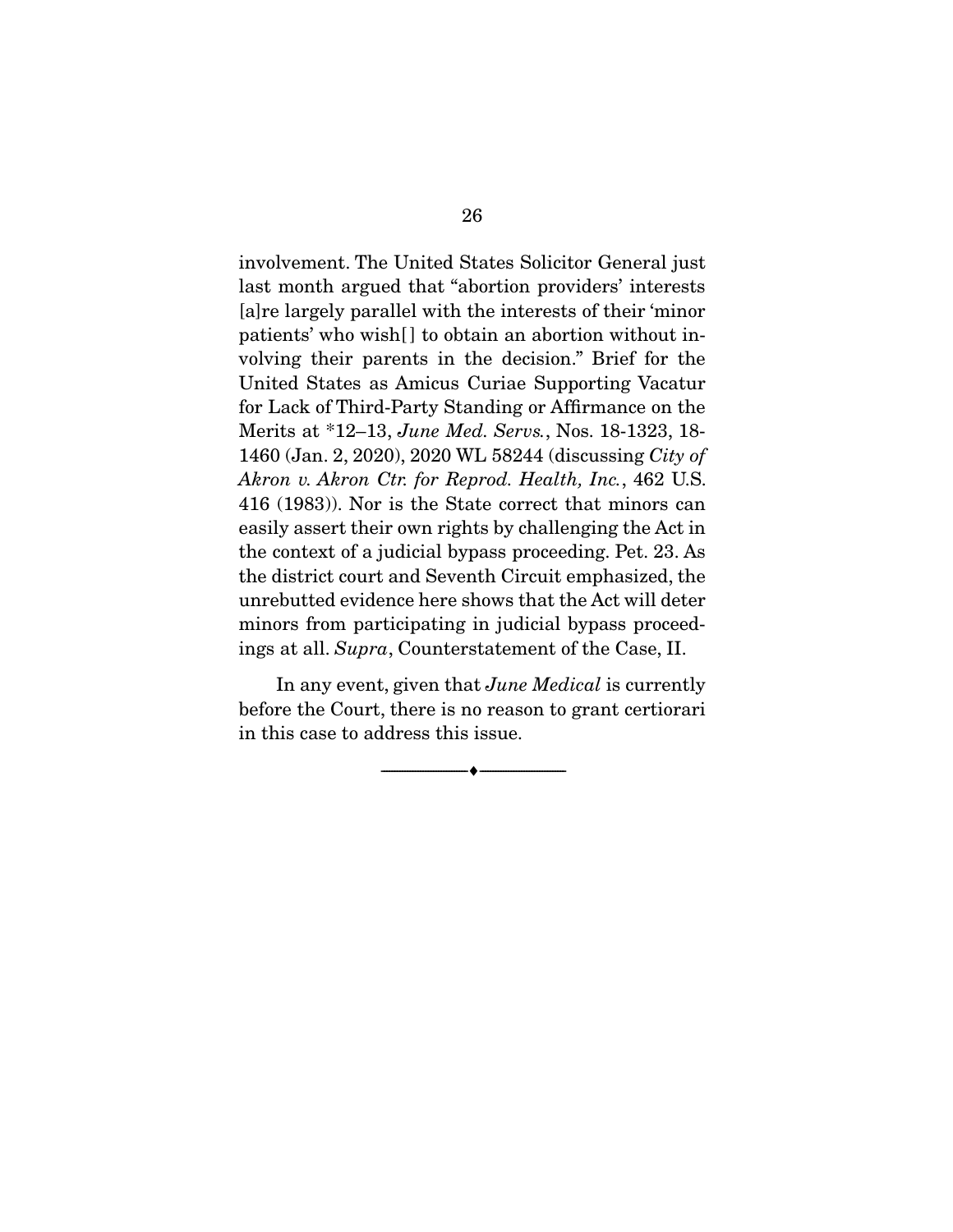involvement. The United States Solicitor General just last month argued that "abortion providers' interests [a]re largely parallel with the interests of their 'minor patients' who wish[] to obtain an abortion without involving their parents in the decision." Brief for the United States as Amicus Curiae Supporting Vacatur for Lack of Third-Party Standing or Affirmance on the Merits at \*12–13, June Med. Servs., Nos. 18-1323, 18- 1460 (Jan. 2, 2020), 2020 WL 58244 (discussing City of Akron v. Akron Ctr. for Reprod. Health, Inc., 462 U.S. 416 (1983)). Nor is the State correct that minors can easily assert their own rights by challenging the Act in the context of a judicial bypass proceeding. Pet. 23. As the district court and Seventh Circuit emphasized, the unrebutted evidence here shows that the Act will deter minors from participating in judicial bypass proceedings at all. Supra, Counterstatement of the Case, II.

In any event, given that *June Medical* is currently before the Court, there is no reason to grant certiorari in this case to address this issue.

 $\overbrace{\hspace{2.5cm}}^{\bullet}$   $\overbrace{\hspace{2.5cm}}^{\bullet}$